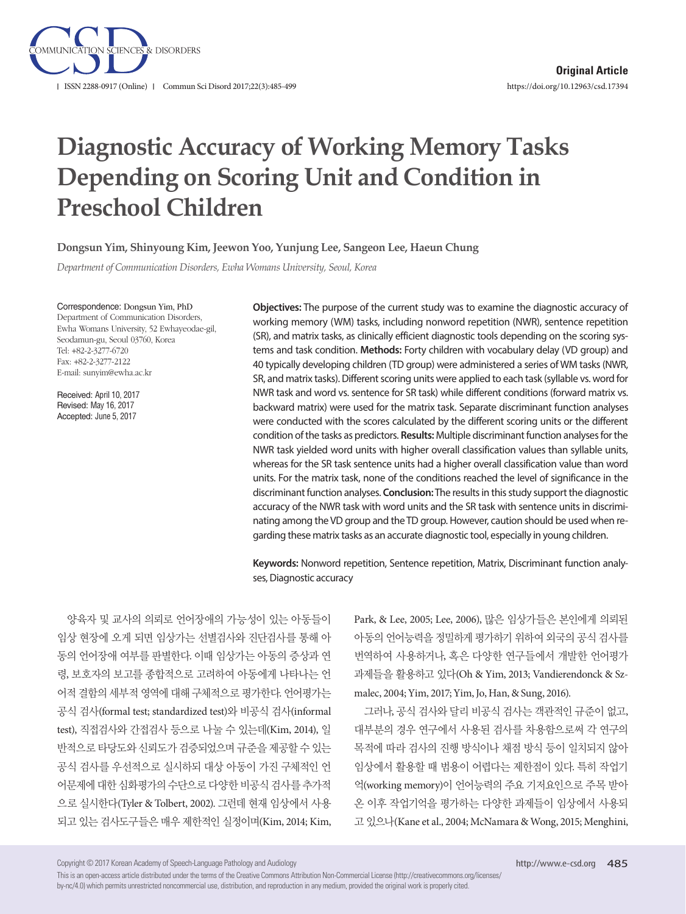

# **Diagnostic Accuracy of Working Memory Tasks Depending on Scoring Unit and Condition in Preschool Children**

**Dongsun Yim, Shinyoung Kim, Jeewon Yoo, Yunjung Lee, Sangeon Lee, Haeun Chung**

*Department of Communication Disorders, Ewha Womans University, Seoul, Korea*

Correspondence: Dongsun Yim, PhD

Department of Communication Disorders, Ewha Womans University, 52 Ewhayeodae-gil, Seodamun-gu, Seoul 03760, Korea Tel: +82-2-3277-6720 Fax: +82-2-3277-2122 E-mail: sunyim@ewha.ac.kr

Received: April 10, 2017 Revised: May 16, 2017 Accepted: June 5, 2017

**Objectives:** The purpose of the current study was to examine the diagnostic accuracy of working memory (WM) tasks, including nonword repetition (NWR), sentence repetition (SR), and matrix tasks, as clinically efficient diagnostic tools depending on the scoring systems and task condition. **Methods:** Forty children with vocabulary delay (VD group) and 40 typically developing children (TD group) were administered a series of WM tasks (NWR, SR, and matrix tasks). Different scoring units were applied to each task (syllable vs. word for NWR task and word vs. sentence for SR task) while different conditions (forward matrix vs. backward matrix) were used for the matrix task. Separate discriminant function analyses were conducted with the scores calculated by the different scoring units or the different condition of the tasks as predictors. **Results:** Multiple discriminant function analyses for the NWR task yielded word units with higher overall classification values than syllable units, whereas for the SR task sentence units had a higher overall classification value than word units. For the matrix task, none of the conditions reached the level of significance in the discriminant function analyses. **Conclusion:** The results in this study support the diagnostic accuracy of the NWR task with word units and the SR task with sentence units in discriminating among the VD group and the TD group. However, caution should be used when regarding these matrix tasks as an accurate diagnostic tool, especially in young children.

**Keywords:** Nonword repetition, Sentence repetition, Matrix, Discriminant function analyses, Diagnostic accuracy

양육자 및 교사의 의뢰로 언어장애의 가능성이 있는 아동들이 임상 현장에 오게 되면 임상가는 선별검사와 진단검사를 통해 아 동의 언어장애 여부를 판별한다. 이때 임상가는 아동의 증상과 연 령, 보호자의 보고를 종합적으로 고려하여 아동에게 나타나는 언 어적 결함의 세부적 영역에 대해 구체적으로 평가한다. 언어평가는 공식 검사(formal test; standardized test)와 비공식 검사(informal test), 직접검사와 간접검사 등으로 나눌 수 있는데(Kim, 2014), 일 반적으로 타당도와 신뢰도가 검증되었으며 규준을 제공할 수 있는 공식 검사를 우선적으로 실시하되 대상 아동이 가진 구체적인 언 어문제에 대한 심화평가의 수단으로 다양한 비공식 검사를 추가적 으로 실시한다(Tyler & Tolbert, 2002). 그런데 현재 임상에서 사용 되고 있는 검사도구들은 매우 제한적인 실정이며(Kim, 2014; Kim,

Park, & Lee, 2005; Lee, 2006), 많은 임상가들은 본인에게 의뢰된 아동의 언어능력을 정밀하게 평가하기 위하여 외국의 공식 검사를 번역하여 사용하거나, 혹은 다양한 연구들에서 개발한 언어평가 과제들을 활용하고 있다(Oh & Yim, 2013; Vandierendonck & Szmalec, 2004; Yim, 2017; Yim, Jo, Han, & Sung, 2016).

그러나, 공식 검사와 달리 비공식 검사는 객관적인 규준이 없고, 대부분의 경우 연구에서 사용된 검사를 차용함으로써 각 연구의 목적에 따라 검사의 진행 방식이나 채점 방식 등이 일치되지 않아 임상에서 활용할 때 범용이 어렵다는 제한점이 있다. 특히 작업기 억(working memory)이 언어능력의 주요 기저요인으로 주목 받아 온 이후 작업기억을 평가하는 다양한 과제들이 임상에서 사용되 고 있으나(Kane et al., 2004; McNamara & Wong, 2015; Menghini,

Copyright © 2017 Korean Academy of Speech-Language Pathology and Audiology

This is an open-access article distributed under the terms of the Creative Commons Attribution Non-Commercial License (http://creativecommons.org/licenses/ by-nc/4.0) which permits unrestricted noncommercial use, distribution, and reproduction in any medium, provided the original work is properly cited.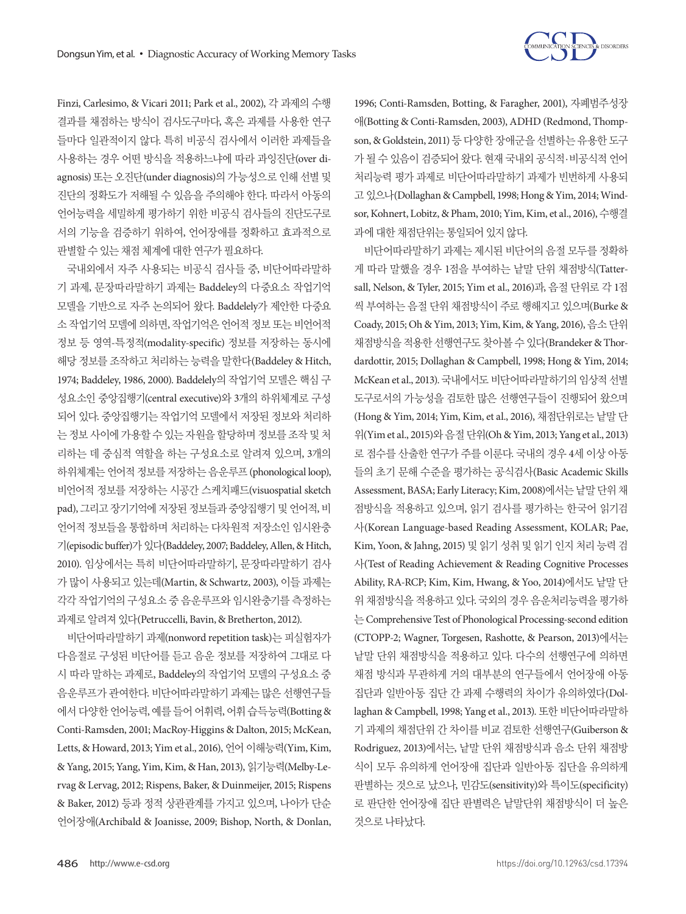

Finzi, Carlesimo, & Vicari 2011; Park et al., 2002), 각 과제의 수행 결과를 채점하는 방식이 검사도구마다, 혹은 과제를 사용한 연구 들마다 일관적이지 않다. 특히 비공식 검사에서 이러한 과제들을 사용하는 경우 어떤 방식을 적용하느냐에 따라 과잉진단(over diagnosis) 또는 오진단(under diagnosis)의 가능성으로 인해 선별 및 진단의 정확도가 저해될 수 있음을 주의해야 한다. 따라서 아동의 언어능력을 세밀하게 평가하기 위한 비공식 검사들의 진단도구로 서의 기능을 검증하기 위하여, 언어장애를 정확하고 효과적으로 판별할 수 있는 채점 체계에 대한 연구가 필요하다.

국내외에서 자주 사용되는 비공식 검사들 중, 비단어따라말하 기 과제, 문장따라말하기 과제는 Baddeley의 다중요소 작업기억 모델을 기반으로 자주 논의되어 왔다. Baddelely가 제안한 다중요 소 작업기억 모델에 의하면, 작업기억은 언어적 정보 또는 비언어적 정보 등 영역-특정적(modality-specific) 정보를 저장하는 동시에 해당 정보를 조작하고 처리하는 능력을 말한다(Baddeley & Hitch, 1974; Baddeley, 1986, 2000). Baddelely의 작업기억 모델은 핵심 구 성요소인 중앙집행기(central executive)와 3개의 하위체계로 구성 되어 있다. 중앙집행기는 작업기억 모델에서 저장된 정보와 처리하 는 정보 사이에 가용할 수 있는 자원을 할당하며 정보를 조작 및 처 리하는 데 중심적 역할을 하는 구성요소로 알려져 있으며, 3개의 하위체계는 언어적 정보를 저장하는 음운루프 (phonological loop), 비언어적 정보를 저장하는 시공간 스케치패드(visuospatial sketch pad), 그리고 장기기억에 저장된 정보들과 중앙집행기 및 언어적, 비 언어적 정보들을 통합하며 처리하는 다차원적 저장소인 임시완충 기(episodic buffer)가있다(Baddeley, 2007; Baddeley, Allen, & Hitch, 2010). 임상에서는 특히 비단어따라말하기, 문장따라말하기 검사 가 많이 사용되고 있는데(Martin, & Schwartz, 2003), 이들 과제는 각각 작업기억의 구성요소 중 음운루프와 임시완충기를 측정하는 과제로알려져있다(Petruccelli, Bavin, & Bretherton, 2012).

비단어따라말하기 과제(nonword repetition task)는 피실험자가 다음절로 구성된 비단어를 듣고 음운 정보를 저장하여 그대로 다 시 따라 말하는 과제로, Baddeley의 작업기억 모델의 구성요소 중 음운루프가 관여한다. 비단어따라말하기 과제는 많은 선행연구들 에서다양한언어능력, 예를들어어휘력, 어휘습득능력(Botting & Conti-Ramsden, 2001; MacRoy-Higgins & Dalton, 2015; McKean, Letts, & Howard, 2013; Yim et al., 2016), 언어 이해능력(Yim, Kim, & Yang, 2015; Yang, Yim, Kim, & Han, 2013), 읽기능력(Melby-Lervag & Lervag, 2012; Rispens, Baker, & Duinmeijer, 2015; Rispens & Baker, 2012) 등과 정적 상관관계를 가지고 있으며, 나아가 단순 언어장애(Archibald & Joanisse, 2009; Bishop, North, & Donlan,

1996; Conti-Ramsden, Botting, & Faragher, 2001), 자폐범주성장 애(Botting & Conti-Ramsden, 2003), ADHD (Redmond, Thompson, & Goldstein, 2011) 등 다양한 장애군을 선별하는 유용한 도구 가 될 수 있음이 검증되어 왔다. 현재 국내외 공식적·비공식적 언어 처리능력 평가 과제로 비단어따라말하기 과제가 빈번하게 사용되 고 있으나(Dollaghan & Campbell, 1998; Hong & Yim, 2014; Windsor, Kohnert, Lobitz, & Pham, 2010; Yim, Kim, et al., 2016), 수행결 과에 대한 채점단위는 통일되어 있지 않다.

비단어따라말하기 과제는 제시된 비단어의 음절 모두를 정확하 게 따라 말했을 경우 1점을 부여하는 낱말 단위 채점방식(Tattersall, Nelson, & Tyler, 2015; Yim et al., 2016)과, 음절 단위로 각 1점 씩 부여하는 음절 단위 채점방식이 주로 행해지고 있으며(Burke & Coady, 2015; Oh & Yim, 2013; Yim, Kim, & Yang, 2016), 음소 단위 채점방식을 적용한 선행연구도찾아볼 수 있다(Brandeker & Thordardottir, 2015; Dollaghan & Campbell, 1998; Hong & Yim, 2014; McKean et al., 2013). 국내에서도 비단어따라말하기의 임상적 서별 도구로서의 가능성을 검토한 많은 선행연구들이 진행되어 왔으며 (Hong & Yim, 2014; Yim, Kim, et al., 2016), 채점단위로는 낱말 단 위(Yim et al., 2015)와음절단위(Oh & Yim, 2013; Yang et al., 2013) 로 점수를 산출한 연구가 주를 이룬다. 국내의 경우 4세 이상 아동 들의 초기 문해 수준을 평가하는 공식검사(Basic Academic Skills Assessment, BASA; Early Literacy; Kim, 2008)에서는 낱말 단위 채 점방식을 적용하고 있으며, 읽기 검사를 평가하는 한국어 읽기검 사(Korean Language-based Reading Assessment, KOLAR; Pae, Kim, Yoon, & Jahng, 2015) 및 읽기 성취 및 읽기 인지 처리 능력 검 사(Test of Reading Achievement & Reading Cognitive Processes Ability, RA-RCP; Kim, Kim, Hwang, & Yoo, 2014)에서도 낱말 단 위 채점방식을 적용하고 있다. 국외의 경우 음운처리능력을 평가하 는 Comprehensive Test of Phonological Processing-second edition (CTOPP-2; Wagner, Torgesen, Rashotte, & Pearson, 2013)에서는 낱말 단위 채점방식을 적용하고 있다. 다수의 선행연구에 의하면 채점 방식과 무관하게 거의 대부분의 연구들에서 언어장애 아동 집단과 일반아동 집단 간 과제 수행력의 차이가 유의하였다(Dollaghan & Campbell, 1998; Yang et al., 2013). 또한 비단어따라말하 기 과제의 채점단위 간 차이를 비교 검토한 선행연구(Guiberson & Rodriguez, 2013)에서는, 낱말 단위 채점방식과 음소 단위 채점방 식이 모두 유의하게 언어장애 집단과 일반아동 집단을 유의하게 판별하는 것으로 났으나, 민감도(sensitivity)와 특이도(specificity) 로 판단한 언어장애 집단 판별력은 낱말단위 채점방식이 더 높은 것으로나타났다.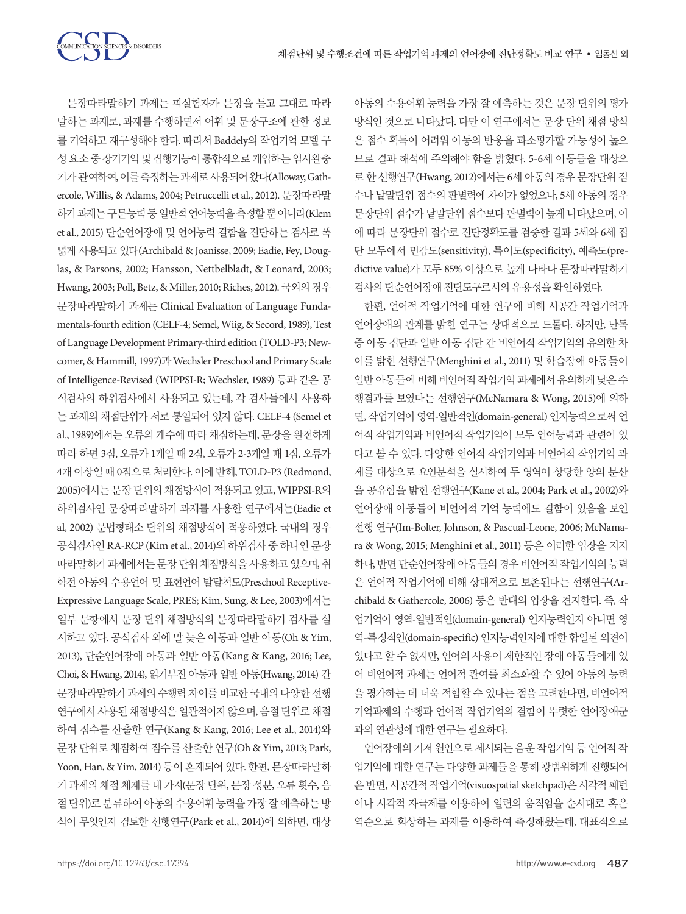SCIENCES & DISORDERS

문장따라말하기 과제는 피실험자가 문장을 듣고 그대로 따라 말하는 과제로, 과제를 수행하면서 어휘 및 문장구조에 관한 정보 를 기억하고 재구성해야 한다. 따라서 Baddely의 작업기억 모델 구 성 요소 중 장기기억 및 집행기능이 통합적으로 개입하는 임시완충 기가 관여하여, 이를측정하는과제로사용되어왔다(Alloway, Gathercole, Willis, & Adams, 2004; Petruccelli et al., 2012). 문장따라말 하기 과제는 구문능력 등 일반적 언어능력을 측정할 뿐 아니라(Klem et al., 2015) 단순언어장애 및 언어능력 결함을 진단하는 검사로 폭 넓게 사용되고 있다(Archibald & Joanisse, 2009; Eadie, Fey, Douglas, & Parsons, 2002; Hansson, Nettbelbladt, & Leonard, 2003; Hwang, 2003; Poll, Betz, & Miller, 2010; Riches, 2012). 국외의 경우 문장따라말하기 과제는 Clinical Evaluation of Language Fundamentals-fourth edition (CELF-4; Semel, Wiig, & Secord, 1989), Test of Language Development Primary-third edition (TOLD-P3; Newcomer, & Hammill, 1997)과 Wechsler Preschool and Primary Scale of Intelligence-Revised (WIPPSI-R; Wechsler, 1989) 등과 같은 공 식검사의 하위검사에서 사용되고 있는데, 각 검사들에서 사용하 는 과제의 채점단위가 서로 통일되어 있지 않다. CELF-4 (Semel et al., 1989)에서는 오류의 개수에 따라 채점하는데, 문장을 완전하게 따라 하면 3점, 오류가 1개일 때 2점, 오류가 2-3개일 때 1점, 오류가 4개 이상일 때 0점으로 처리한다. 이에 반해, TOLD-P3 (Redmond, 2005)에서는 문장 단위의 채점방식이 적용되고 있고, WIPPSI-R의 하위검사인 문장따라말하기 과제를 사용한 연구에서는(Eadie et al, 2002) 문법형태소 단위의 채점방식이 적용하였다. 국내의 경우 공식검사인 RA-RCP (Kim et al., 2014)의 하위검사 중 하나인 문장 따라말하기 과제에서는 문장 단위 채점방식을 사용하고 있으며, 취 학전 아동의 수용언어 및 표현언어 발달척도(Preschool Receptive-Expressive Language Scale, PRES; Kim, Sung, & Lee, 2003)에서는 일부 문항에서 문장 단위 채점방식의 문장따라말하기 검사를 실 시하고 있다. 공식검사 외에 말 늦은 아동과 일반 아동(Oh & Yim, 2013), 단순언어장애 아동과 일반 아동(Kang & Kang, 2016; Lee, Choi, & Hwang, 2014), 읽기부진 아동과 일반 아동(Hwang, 2014) 간 문장따라말하기 과제의 수행력 차이를 비교한 국내의 다양한 선행 연구에서 사용된 채점방식은 일관적이지 않으며, 음절 단위로 채점 하여 점수를 산출한 연구(Kang & Kang, 2016; Lee et al., 2014)와 문장 단위로 채점하여 점수를 산출한 연구(Oh & Yim, 2013; Park, Yoon, Han, & Yim, 2014) 등이 혼재되어 있다. 한편, 문장따라말하 기 과제의 채점 체계를 네 가지(문장 단위, 문장 성분, 오류 횟수, 음 절단위)로분류하여아동의수용어휘능력을가장잘예측하는방 식이 무엇인지 검토한 선행연구(Park et al., 2014)에 의하면, 대상 아동의 수용어휘 능력을 가장 잘 예측하는 것은 문장 단위의 평가 방식인 것으로 나타났다. 다만 이 연구에서는 문장 단위 채점 방식 은 점수 획득이 어려워 아동의 반응을 과소평가할 가능성이 높으 므로 결과 해석에 주의해야 함을 밝혔다. 5-6세 아동들을 대상으 로 한 선행연구(Hwang, 2012)에서는 6세 아동의 경우 문장단위 점 수나 낱말단위 점수의 판별력에 차이가 없었으나, 5세 아동의 경우 문장단위 점수가 낱말단위 점수보다 판별력이 높게 나타났으며, 이 에 따라 문장단위 점수로 진단정확도를 검증한 결과 5세와 6세 집 단 모두에서 민감도(sensitivity), 특이도(specificity), 예측도(predictive value)가 모두 85% 이상으로 높게 나타나 문장따라말하기 검사의 단순언어장애 진단도구로서의 유용성을 확인하였다.

한편, 언어적 작업기억에 대한 연구에 비해 시공간 작업기억과 언어장애의 관계를 밝힌 연구는 상대적으로 드물다. 하지만, 난독 증 아동 집단과 일반 아동 집단 간 비언어적 작업기억의 유의한 차 이를 밝힌 선행연구(Menghini et al., 2011) 및 학습장애 아동들이 일반 아동들에 비해 비언어적 작업기억 과제에서 유의하게 낮은 수 행결과를 보였다는 선행연구(McNamara & Wong, 2015)에 의하 면, 작업기억이 영역-일반적인(domain-general) 인지능력으로써 언 어적 작업기억과 비언어적 작업기억이 모두 언어능력과 관련이 있 다고 볼 수 있다. 다양한 언어적 작업기억과 비언어적 작업기억 과 제를 대상으로 요인분석을 실시하여 두 영역이 상당한 양의 분산 을 공유함을 밝힌 선행연구(Kane et al., 2004; Park et al., 2002)와 언어장애 아동들이 비언어적 기억 능력에도 결함이 있음을 보인 선행 연구(Im‐Bolter, Johnson, & Pascual‐Leone, 2006; McNamara & Wong, 2015; Menghini et al., 2011) 등은 이러한 입장을 지지 하나, 반면 단순언어장애 아동들의 경우 비언어적 작업기억의 능력 은 언어적 작업기억에 비해 상대적으로 보존된다는 선행연구(Archibald & Gathercole, 2006) 등은 반대의 입장을 견지한다. 즉, 작 업기억이 영역-일반적인(domain-general) 인지능력인지 아니면 영 역-특정적인(domain-specific) 인지능력인지에 대한 합일된 의견이 있다고 할 수 없지만, 언어의 사용이 제한적인 장애 아동들에게 있 어 비언어적 과제는 언어적 관여를 최소화할 수 있어 아동의 능력 을 평가하는 데 더욱 적합할 수 있다는 점을 고려한다면, 비언어적 기억과제의 수행과 언어적 작업기억의 결함이 뚜렷한 언어장애군 과의 연관성에 대한 연구는 필요하다.

언어장애의 기저 원인으로 제시되는 음운 작업기억 등 언어적 작 업기억에 대한 연구는 다양한 과제들을 통해 광범위하게 진행되어 온 반면, 시공간적 작업기억(visuospatial sketchpad)은 시각적 패턴 이나 시각적 자극제를 이용하여 일련의 움직임을 순서대로 혹은 역순으로 회상하는 과제를 이용하여 측정해왔는데, 대표적으로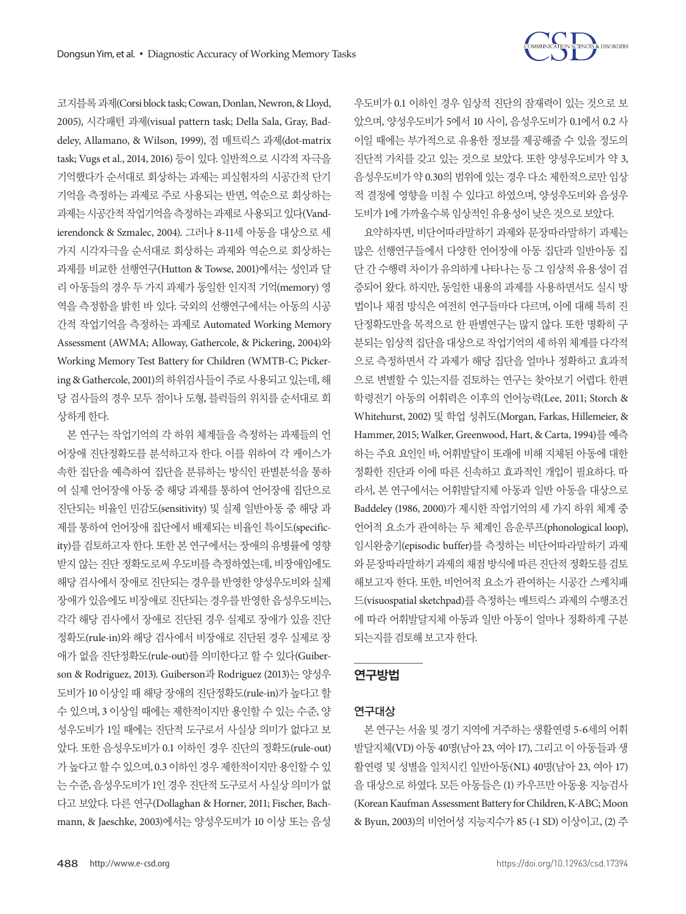

코지블록과제(Corsi block task; Cowan, Donlan, Newron, & Lloyd, 2005), 시각패턴 과제(visual pattern task; Della Sala, Gray, Baddeley, Allamano, & Wilson, 1999), 점 매트릭스 과제(dot-matrix task; Vugs et al., 2014, 2016) 등이 있다. 일반적으로 시각적 자극을 기억했다가 순서대로 회상하는 과제는 피실험자의 시공간적 단기 기억을 측정하는 과제로 주로 사용되는 반면, 역순으로 회상하는 과제는 시공간적 작업기억을 측정하는 과제로 사용되고 있다(Vandierendonck & Szmalec, 2004). 그러나 8-11세 아동을 대상으로 세 가지 시각자극을 순서대로 회상하는 과제와 역순으로 회상하는 과제를 비교한 선행연구(Hutton & Towse, 2001)에서는 성인과 달 리 아동들의 경우 두 가지 과제가 동일한 인지적 기억(memory) 영 역을 측정함을 밝힌 바 있다. 국외의 선행연구에서는 아동의 시공 간적 작업기억을 측정하는 과제로 Automated Working Memory Assessment (AWMA; Alloway, Gathercole, & Pickering, 2004)와 Working Memory Test Battery for Children (WMTB-C; Pickering & Gathercole, 2001)의 하위검사들이 주로 사용되고 있는데, 해 당 검사들의 경우 모두 점이나 도형, 블럭들의 위치를 순서대로 회 상하게한다.

본 연구는 작업기억의 각 하위 체계들을 측정하는 과제들의 언 어장애 진단정확도를 분석하고자 한다. 이를 위하여 각 케이스가 속한 집단을 예측하여 집단을 분류하는 방식인 판별분석을 통하 여 실제 언어장애 아동 중 해당 과제를 통하여 언어장애 집단으로 진단되는 비율인 민감도(sensitivity) 및 실제 일반아동 중 해당 과 제를 통하여 언어장애 집단에서 배제되는 비율인 특이도(specificity)를 검토하고자 한다. 또한 본 연구에서는 장애의 유병률에 영향 받지 않는 진단 정확도로써 우도비를 측정하였는데, 비장애임에도 해당 검사에서 장애로 진단되는 경우를 반영한 양성우도비와 실제 장애가 있음에도 비장애로 진단되는 경우를 반영한 음성우도비는, 각각 해당 검사에서 장애로 진단된 경우 실제로 장애가 있을 진단 정확도(rule-in)와 해당 검사에서 비장애로 진단된 경우 실제로 장 애가 없을 진단정확도(rule-out)를 의미한다고 할 수 있다(Guiberson & Rodriguez, 2013). Guiberson과 Rodriguez (2013)는 양성우 도비가 10 이상일 때 해당 장애의 진단정확도(rule-in)가 높다고 할 수 있으며, 3 이상일 때에는 제한적이지만 용인할 수 있는 수준, 양 성우도비가 1일 때에는 진단적 도구로서 사실상 의미가 없다고 보 았다. 또한 음성우도비가 0.1 이하인 경우 진단의 정확도(rule-out) 가높다고할수있으며, 0.3 이하인경우제한적이지만용인할수있 는 수준, 음성우도비가 1인 경우 진단적 도구로서 사실상 의미가 없 다고 보았다. 다른 연구(Dollaghan & Horner, 2011; Fischer, Bachmann, & Jaeschke, 2003)에서는 양성우도비가 10 이상 또는 음성

우도비가 0.1 이하인 경우 임상적 진단의 잠재력이 있는 것으로 보 았으며, 양성우도비가 5에서 10 사이, 음성우도비가 0.1에서 0.2 사 이일 때에는 부가적으로 유용한 정보를 제공해줄 수 있을 정도의 진단적 가치를 갖고 있는 것으로 보았다. 또한 양성우도비가 약 3, 음성우도비가 약 0.30의 범위에 있는 경우 다소 제한적으로만 임상 적 결정에 영향을 미칠 수 있다고 하였으며, 양성우도비와 음성우 도비가 1에가까울수록임상적인유용성이낮은것으로보았다.

요약하자면, 비단어따라말하기 과제와 문장따라말하기 과제는 많은 선행연구들에서 다양한 언어장애 아동 집단과 일반아동 집 단 간 수행력 차이가 유의하게 나타나는 등 그 임상적 유용성이 검 증되어 왔다. 하지만, 동일한 내용의 과제를 사용하면서도 실시 방 법이나 채점 방식은 여전히 연구들마다 다르며, 이에 대해 특히 진 단정확도만을 목적으로 한 판별연구는 많지 않다. 또한 명확히 구 분되는 임상적 집단을 대상으로 작업기억의 세 하위 체계를 다각적 으로 측정하면서 각 과제가 해당 집단을 얼마나 정확하고 효과적 으로 변별할 수 있는지를 검토하는 연구는 찾아보기 어렵다. 한편 학령전기 아동의 어휘력은 이후의 언어능력(Lee, 2011; Storch & Whitehurst, 2002) 및 학업 성취도(Morgan, Farkas, Hillemeier, & Hammer, 2015; Walker, Greenwood, Hart, & Carta, 1994)를 예측 하는 주요 요인인 바, 어휘발달이 또래에 비해 지체된 아동에 대한 정확한 진단과 이에 따른 신속하고 효과적인 개입이 필요하다. 따 라서, 본 연구에서는 어휘발달지체 아동과 일반 아동을 대상으로 Baddeley (1986, 2000)가 제시한 작업기억의 세 가지 하위 체계 중 언어적 요소가 관여하는 두 체계인 음운루프(phonological loop), 임시완충기(episodic buffer)를 측정하는 비단어따라말하기 과제 와문장따라말하기과제의채점방식에따른진단적정확도를검토 해보고자 한다. 또한, 비언어적 요소가 관여하는 시공간 스케치패 드(visuospatial sketchpad)를 측정하는 매트릭스 과제의 수행조건 에 따라 어휘발달지체 아동과 일반 아동이 얼마나 정확하게 구분 되는지를검토해보고자한다.

# 연구방법

## 연구대상

본 연구는 서울 및 경기 지역에 거주하는 생활연령 5-6세의 어휘 발달지체(VD) 아동 40명(남아 23, 여아 17), 그리고 이 아동들과 생 활연령 및 성별을 일치시킨 일반아동(NL) 40명(남아 23, 여아 17) 을 대상으로 하였다. 모든 아동들은 (1) 카우프만 아동용 지능검사 (Korean Kaufman Assessment Battery for Children, K-ABC; Moon & Byun, 2003)의 비언어성 지능지수가 85 (-1 SD) 이상이고, (2) 주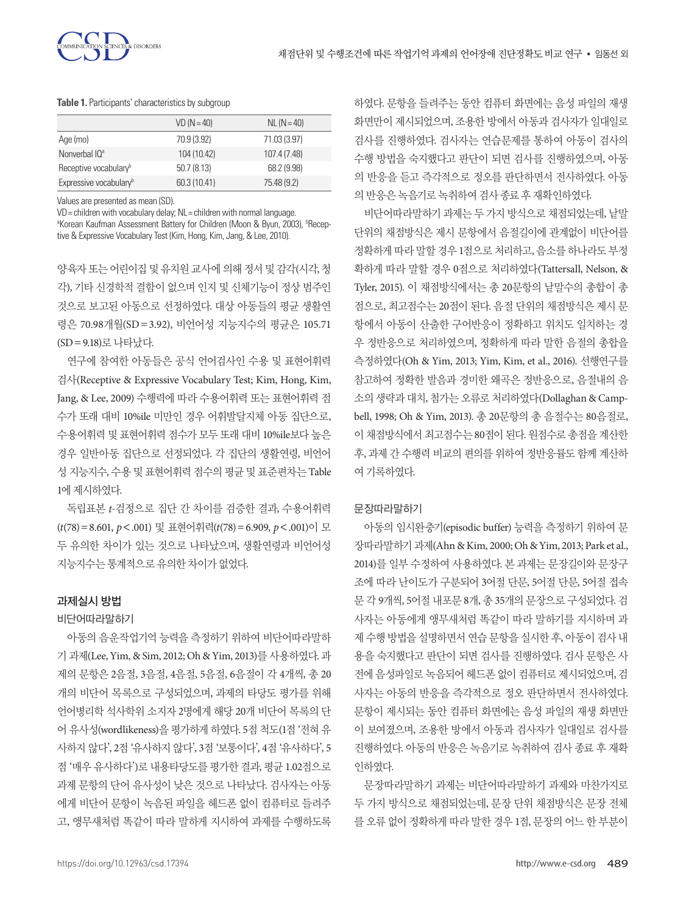|                                    | $VD (N = 40)$ | $NL (N = 40)$ |
|------------------------------------|---------------|---------------|
| Age (mo)                           | 70.9 (3.92)   | 71.03 (3.97)  |
| Nonverbal IO <sup>a</sup>          | 104 (10.42)   | 107.4 (7.48)  |
| Receptive vocabulary <sup>b</sup>  | 50.7(8.13)    | 68.2 (9.98)   |
| Expressive vocabulary <sup>b</sup> | 60.3 (10.41)  | 75.48 (9.2)   |

**Table 1.** Participants' characteristics by subgroup

Values are presented as mean (SD).

VD= children with vocabulary delay; NL= children with normal language.

<sup>a</sup>Korean Kaufman Assessment Battery for Children (Moon & Byun, 2003), <sup>b</sup>Receptive & Expressive Vocabulary Test (Kim, Hong, Kim, Jang, & Lee, 2010).

양육자 또는 어린이집 및 유치원 교사에 의해 정서 및 감각(시각, 청 각), 기타 신경학적 결함이 없으며 인지 및 신체기능이 정상 범주인 것으로 보고된 아동으로 선정하였다. 대상 아동들의 평균 생활연 령은 70.98개월(SD = 3.92), 비언어성 지능지수의 평균은 105.71 (SD=9.18)로나타났다.

연구에 참여한 아동들은 공식 언어검사인 수용 및 표현어휘력 검사(Receptive & Expressive Vocabulary Test; Kim, Hong, Kim, Jang, & Lee, 2009) 수행력에 따라 수용어휘력 또는 표현어휘력 점 수가 또래 대비 10%ile 미만인 경우 어휘발달지체 아동 집단으로, 수용어휘력 및 표현어휘력 점수가 모두 또래 대비 10%ile보다 높은 경우 일반아동 집단으로 선정되었다. 각 집단의 생활연령, 비언어 성 지능지수, 수용 및 표현어휘력 점수의 평균 및 표준편차는 Table 1에 제시하였다.

독립표본 *t*-검정으로 집단 간 차이를 검증한 결과, 수용어휘력 (*t*(78)=8.601, *p*<.001) 및 표현어휘력(*t*(78)=6.909, *p*<.001)이 모 두 유의한 차이가 있는 것으로 나타났으며, 생활연령과 비언어성 지능지수는통계적으로유의한차이가없었다.

## 과제실시 방법

#### 비단어따라말하기

아동의 음운작업기억 능력을 측정하기 위하여 비단어따라말하 기 과제(Lee, Yim, & Sim, 2012; Oh & Yim, 2013)를 사용하였다. 과 제의 문항은 2음절, 3음절, 4음절, 5음절, 6음절이 각 4개씩, 총 20 개의 비단어 목록으로 구성되었으며, 과제의 타당도 평가를 위해 언어병리학 석사학위 소지자 2명에게 해당 20개 비단어 목록의 단 어 유사성(wordlikeness)을 평가하게 하였다. 5점 척도(1점 '전혀 유 사하지 않다', 2점 '유사하지 않다', 3점 '보통이다', 4점 '유사하다', 5 점 '매우 유사하다')로 내용타당도를 평가한 결과, 평균 1.02점으로 과제 문항의 단어 유사성이 낮은 것으로 나타났다. 검사자는 아동 에게 비단어 문항이 녹음된 파일을 헤드폰 없이 컴퓨터로 들려주 고, 앵무새처럼 똑같이 따라 말하게 지시하여 과제를 수행하도록 하였다. 문항을 들려주는 동안 컴퓨터 화면에는 음성 파일의 재생 화면만이 제시되었으며, 조용한 방에서 아동과 검사자가 일대일로 검사를 진행하였다. 검사자는 연습문제를 통하여 아동이 검사의 수행 방법을 숙지했다고 판단이 되면 검사를 진행하였으며, 아동 의 반응을 듣고 즉각적으로 정오를 판단하면서 전사하였다. 아동 의반응은녹음기로녹취하여검사종료후재확인하였다.

비단어따라말하기 과제는 두 가지 방식으로 채점되었는데, 낱말 단위의 채점방식은 제시 문항에서 음절길이에 관계없이 비단어를 정확하게 따라 말할 경우 1점으로 처리하고, 음소를 하나라도 부정 확하게 따라 말할 경우 0점으로 처리하였다(Tattersall, Nelson, & Tyler, 2015). 이 채점방식에서는 총 20문항의 낱말수의 총합이 총 점으로, 최고점수는 20점이 된다. 음절 단위의 채점방식은 제시 문 항에서 아동이 산출한 구어반응이 정확하고 위치도 일치하는 경 우 정반응으로 처리하였으며, 정확하게 따라 말한 음절의 총합을 측정하였다(Oh & Yim, 2013; Yim, Kim, et al., 2016). 선행연구를 참고하여 정확한 발음과 경미한 왜곡은 정반응으로, 음절내의 음 소의 생략과 대치, 첨가는 오류로 처리하였다(Dollaghan & Campbell, 1998; Oh & Yim, 2013). 총 20문항의 총 음절수는 80음절로, 이 채점방식에서 최고점수는 80점이 된다. 원점수로 총점을 계산한 후, 과제 간 수행력 비교의 편의를 위하여 정반응률도 함께 계산하 여기록하였다.

## 문장따라말하기

아동의 임시완충기(episodic buffer) 능력을 측정하기 위하여 문 장따라말하기과제(Ahn & Kim, 2000; Oh & Yim, 2013; Park et al., 2014)를 일부 수정하여 사용하였다. 본 과제는 문장길이와 문장구 조에 따라 난이도가 구분되어 3어절 단문, 5어절 단문, 5어절 접속 문 각 9개씩, 5어절 내포문 8개, 총 35개의 문장으로 구성되었다. 검 사자는 아동에게 앵무새처럼 똑같이 따라 말하기를 지시하며 과 제 수행 방법을 설명하면서 연습 문항을 실시한 후, 아동이 검사 내 용을 숙지했다고 판단이 되면 검사를 진행하였다. 검사 문항은 사 전에 음성파일로 녹음되어 헤드폰 없이 컴퓨터로 제시되었으며, 검 사자는 아동의 반응을 즉각적으로 정오 판단하면서 전사하였다. 문항이 제시되는 동안 컴퓨터 화면에는 음성 파일의 재생 화면만 이 보여졌으며, 조용한 방에서 아동과 검사자가 일대일로 검사를 진행하였다. 아동의 반응은 녹음기로 녹취하여 검사 종료 후 재확 인하였다.

문장따라말하기 과제는 비단어따라말하기 과제와 마찬가지로 두 가지 방식으로 채점되었는데, 문장 단위 채점방식은 문장 전체 를 오류 없이 정확하게 따라 말한 경우 1점, 문장의 어느 한 부분이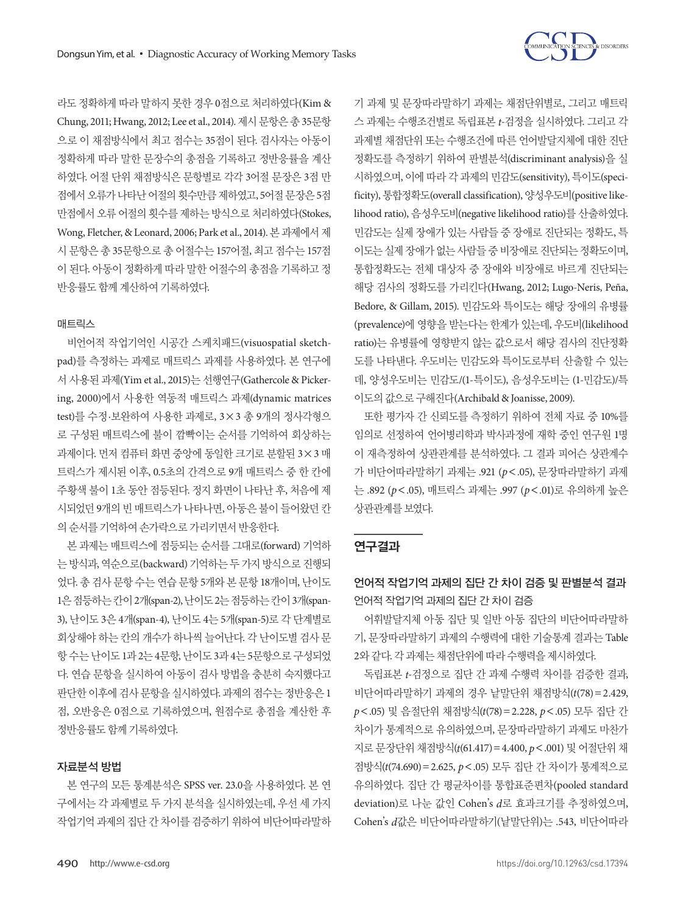

라도 정확하게 따라 말하지 못한 경우 0점으로 처리하였다(Kim & Chung, 2011; Hwang, 2012; Lee et al., 2014). 제시문항은총 35문항 으로 이 채점방식에서 최고 점수는 35점이 된다. 검사자는 아동이 정확하게 따라 말한 문장수의 총점을 기록하고 정반응률을 계산 하였다. 어절 단위 채점방식은 문항별로 각각 3어절 문장은 3점 만 점에서오류가나타난어절의횟수만큼제하였고, 5어절문장은 5점 만점에서 오류 어절의 횟수를 제하는 방식으로 처리하였다(Stokes, Wong, Fletcher, & Leonard, 2006; Park et al., 2014). 본 과제에서 제 시 문항은 총 35문항으로 총 어절수는 157어절, 최고 점수는 157점 이 된다. 아동이 정확하게 따라 말한 어절수의 총점을 기록하고 정 반응률도함께계산하여기록하였다.

## 매트릭스

비언어적 작업기억인 시공간 스케치패드(visuospatial sketchpad)를 측정하는 과제로 매트릭스 과제를 사용하였다. 본 연구에 서 사용된 과제(Yim et al., 2015)는 선행연구(Gathercole & Pickering, 2000)에서 사용한 역동적 매트릭스 과제(dynamic matrices test)를 수정·보완하여 사용한 과제로, 3×3 총 9개의 정사각형으 로 구성된 매트릭스에 불이 깜빡이는 순서를 기억하여 회상하는 과제이다. 먼저 컴퓨터 화면 중앙에 동일한 크기로 분할된 3×3 매 트릭스가 제시된 이후, 0.5초의 간격으로 9개 매트릭스 중 한 칸에 주황색 불이 1초 동안 점등된다. 정지 화면이 나타난 후, 처음에 제 시되었던 9개의 빈 매트릭스가 나타나면, 아동은 불이 들어왔던 칸 의순서를기억하여손가락으로가리키면서반응한다.

본 과제는 매트릭스에 점등되는 순서를 그대로(forward) 기억하 는방식과, 역순으로(backward) 기억하는 두가지방식으로진행되 었다. 총 검사 문항 수는 연습 문항 5개와 본 문항 18개이며, 난이도 1은 점등하는 칸이 2개(span-2), 난이도 2는 점등하는 칸이 3개(span-3), 난이도 3은 4개(span-4), 난이도 4는 5개(span-5)로 각 단계별로 회상해야 하는 칸의 개수가 하나씩 늘어난다. 각 난이도별 검사 문 항 수는 난이도 1과 2는 4문항, 난이도 3과 4는 5문항으로 구성되었 다. 연습 문항을 실시하여 아동이 검사 방법을 충분히 숙지했다고 판단한 이후에 검사 문항을 실시하였다. 과제의 점수는 정반응은 1 점, 오반응은 0점으로 기록하였으며, 원점수로 총점을 계산한 후 정반응률도함께기록하였다.

### 자료분석 방법

본 연구의 모든 통계분석은 SPSS ver. 23.0을 사용하였다. 본 연 구에서는 각 과제별로 두 가지 분석을 실시하였는데, 우선 세 가지 작업기억 과제의 집단 간 차이를 검증하기 위하여 비단어따라말하

기 과제 및 문장따라말하기 과제는 채점단위별로, 그리고 매트릭 스 과제는 수행조건별로 독립표본 *t*-검정을 실시하였다. 그리고 각 과제별 채점단위 또는 수행조건에 따른 언어발달지체에 대한 진단 정확도를 측정하기 위하여 판별분석(discriminant analysis)을 실 시하였으며, 이에 따라 각 과제의 민감도(sensitivity), 특이도(specificity), 통합정확도(overall classification), 양성우도비(positive likelihood ratio), 음성우도비(negative likelihood ratio)를 산출하였다. 민감도는 실제 장애가 있는 사람들 중 장애로 진단되는 정확도, 특 이도는 실제 장애가 없는 사람들 중 비장애로 진단되는 정확도이며, 통합정확도는 전체 대상자 중 장애와 비장애로 바르게 진단되는 해당 검사의 정확도를 가리킨다(Hwang, 2012; Lugo-Neris, Peña, Bedore, & Gillam, 2015). 민감도와 특이도는 해당 장애의 유병률 (prevalence)에 영향을 받는다는 한계가 있는데, 우도비(likelihood ratio)는 유병률에 영향받지 않는 값으로서 해당 검사의 진단정확 도를 나타낸다. 우도비는 민감도와 특이도로부터 산출할 수 있는 데, 양성우도비는 민감도/(1-특이도), 음성우도비는 (1-민감도)/특 이도의값으로구해진다(Archibald & Joanisse, 2009).

또한 평가자 간 신뢰도를 측정하기 위하여 전체 자료 중 10%를 임의로 선정하여 언어병리학과 박사과정에 재학 중인 연구원 1명 이 재측정하여 상관관계를 분석하였다. 그 결과 피어슨 상관계수 가 비단어따라말하기 과제는 .921 (*p*<.05), 문장따라말하기 과제 는 .892 (*p*<.05), 매트릭스 과제는 .997 (*p*<.01)로 유의하게 높은 상관관계를보였다.

### 연구결과

# 언어적 작업기억 과제의 집단 간 차이 검증 및 판별분석 결과 언어적 작업기억 과제의 집단 간 차이 검증

어휘발달지체 아동 집단 및 일반 아동 집단의 비단어따라말하 기, 문장따라말하기 과제의 수행력에 대한 기술통계 결과는 Table 2와 같다. 각 과제는 채점단위에 따라 수행력을 제시하였다.

독립표본 *t*-검정으로 집단 간 과제 수행력 차이를 검증한 결과, 비단어따라말하기 과제의 경우 낱말단위 채점방식(*t*(78)=2.429, *p*<.05) 및 음절단위 채점방식(*t*(78)=2.228, *p*<.05) 모두 집단 간 차이가 통계적으로 유의하였으며, 문장따라말하기 과제도 마찬가 지로 문장단위 채점방식(*t*(61.417)=4.400, *p*<.001) 및 어절단위 채 점방식(*t*(74.690)=2.625, *p*<.05) 모두 집단 간 차이가 통계적으로 유의하였다. 집단 간 평균차이를 통합표준편차(pooled standard deviation)로 나눈 값인 Cohen's *d*로 효과크기를 추정하였으며, Cohen's *d*값은 비단어따라말하기(낱말단위)는 .543, 비단어따라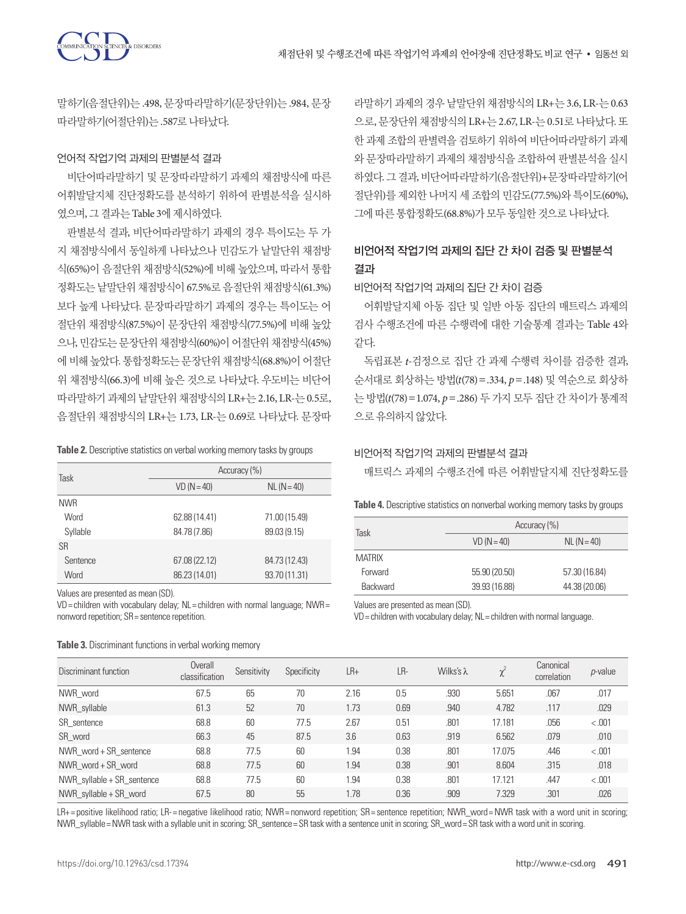말하기(음절단위)는 .498, 문장따라말하기(문장단위)는 .984, 문장 따라말하기(어절단위)는 .587로나타났다.

#### 언어적 작업기억 과제의 판별분석 결과

비단어따라말하기 및 문장따라말하기 과제의 채점방식에 따른 어휘발달지체 진단정확도를 분석하기 위하여 판별분석을 실시하 였으며, 그결과는 Table 3에제시하였다.

판별분석 결과, 비단어따라말하기 과제의 경우 특이도는 두 가 지 채점방식에서 동일하게 나타났으나 민감도가 낱말단위 채점방 식(65%)이 음절단위 채점방식(52%)에 비해 높았으며, 따라서 통합 정확도는 낱말단위 채점방식이 67.5%로 음절단위 채점방식(61.3%) 보다 높게 나타났다. 문장따라말하기 과제의 경우는 특이도는 어 절단위 채점방식(87.5%)이 문장단위 채점방식(77.5%)에 비해 높았 으나, 민감도는 문장단위 채점방식(60%)이 어절단위 채점방식(45%) 에 비해 높았다. 통합정확도는 문장단위 채점방식(68.8%)이 어절단 위 채점방식(66.3)에 비해 높은 것으로 나타났다. 우도비는 비단어 따라말하기 과제의 낱말단위 채점방식의 LR+는 2.16, LR-는 0.5로, 음절단위 채점방식의 LR+는 1.73, LR-는 0.69로 나타났다. 문장따

**Table 2.** Descriptive statistics on verbal working memory tasks by groups

| Task       | Accuracy (%)  |               |  |  |  |  |
|------------|---------------|---------------|--|--|--|--|
|            | $VD (N = 40)$ | $NL (N = 40)$ |  |  |  |  |
| <b>NWR</b> |               |               |  |  |  |  |
| Word       | 62.88 (14.41) | 71.00 (15.49) |  |  |  |  |
| Syllable   | 84.78 (7.86)  | 89.03 (9.15)  |  |  |  |  |
| <b>SR</b>  |               |               |  |  |  |  |
| Sentence   | 67.08 (22.12) | 84.73 (12.43) |  |  |  |  |
| Word       | 86.23 (14.01) | 93.70 (11.31) |  |  |  |  |

Values are presented as mean (SD).

VD= children with vocabulary delay; NL= children with normal language; NWR= nonword repetition; SR= sentence repetition.

라말하기 과제의 경우 낱말단위 채점방식의 LR+는 3.6, LR-는 0.63 으로, 문장단위 채점방식의 LR+는 2.67, LR-는 0.51로 나타났다. 또 한 과제 조합의 판별력을 검토하기 위하여 비단어따라말하기 과제 와 문장따라말하기 과제의 채점방식을 조합하여 판별분석을 실시 하였다. 그 결과, 비단어따라말하기(음절단위)+문장따라말하기(어 절단위)를 제외한 나머지 세 조합의 민감도(77.5%)와 특이도(60%), 그에따른통합정확도(68.8%)가모두동일한것으로나타났다.

# 비언어적 작업기억 과제의 집단 간 차이 검증 및 판별분석 결과

비언어적 작업기억 과제의 집단 간 차이 검증

어휘발달지체 아동 집단 및 일반 아동 집단의 매트릭스 과제의 검사 수행조건에 따른 수행력에 대한 기술통계 결과는 Table 4와 같다.

독립표본 *t*-검정으로 집단 간 과제 수행력 차이를 검증한 결과, 순서대로 회상하는 방법(*t*(78)=.334, *p*=.148) 및 역순으로 회상하 는 방법(*t*(78)=1.074, *p*=.286) 두 가지 모두 집단 간 차이가 통계적 으로유의하지않았다.

## 비언어적 작업기억 과제의 판별분석 결과

매트릭스 과제의 수행조건에 따른 어휘발달지체 진단정확도를

**Table 4.** Descriptive statistics on nonverbal working memory tasks by groups

| Task            | Accuracy (%)  |               |  |  |  |  |
|-----------------|---------------|---------------|--|--|--|--|
|                 | $VD (N = 40)$ | $NL (N = 40)$ |  |  |  |  |
| <b>MATRIX</b>   |               |               |  |  |  |  |
| Forward         | 55.90 (20.50) | 57.30 (16.84) |  |  |  |  |
| <b>Backward</b> | 39.93 (16.88) | 44.38 (20.06) |  |  |  |  |

Values are presented as mean (SD).

VD= children with vocabulary delay; NL= children with normal language.

| Discriminant function        | Overall<br>classification | Sensitivity | Specificity | $LR+$ | LR-  | Wilks's $\lambda$ | χ      | Canonical<br>correlation | <i>p</i> -value |
|------------------------------|---------------------------|-------------|-------------|-------|------|-------------------|--------|--------------------------|-----------------|
| NWR word                     | 67.5                      | 65          | 70          | 2.16  | 0.5  | .930              | 5.651  | .067                     | .017            |
| NWR syllable                 | 61.3                      | 52          | 70          | 1.73  | 0.69 | .940              | 4.782  | .117                     | .029            |
| SR sentence                  | 68.8                      | 60          | 77.5        | 2.67  | 0.51 | .801              | 17.181 | .056                     | < .001          |
| SR word                      | 66.3                      | 45          | 87.5        | 3.6   | 0.63 | .919              | 6.562  | .079                     | .010            |
| NWR word + SR sentence       | 68.8                      | 77.5        | 60          | 1.94  | 0.38 | .801              | 17.075 | .446                     | < .001          |
| NWR word + SR word           | 68.8                      | 77.5        | 60          | 1.94  | 0.38 | .901              | 8.604  | .315                     | .018            |
| NWR $syllable + SR$ sentence | 68.8                      | 77.5        | 60          | 1.94  | 0.38 | .801              | 17.121 | .447                     | < .001          |
| NWR syllable $+$ SR word     | 67.5                      | 80          | 55          | 1.78  | 0.36 | .909              | 7.329  | .301                     | .026            |

LR+= positive likelihood ratio; LR-= negative likelihood ratio; NWR= nonword repetition; SR= sentence repetition; NWR\_word= NWR task with a word unit in scoring; NWR\_syllable= NWR task with a syllable unit in scoring; SR\_sentence= SR task with a sentence unit in scoring; SR\_word= SR task with a word unit in scoring.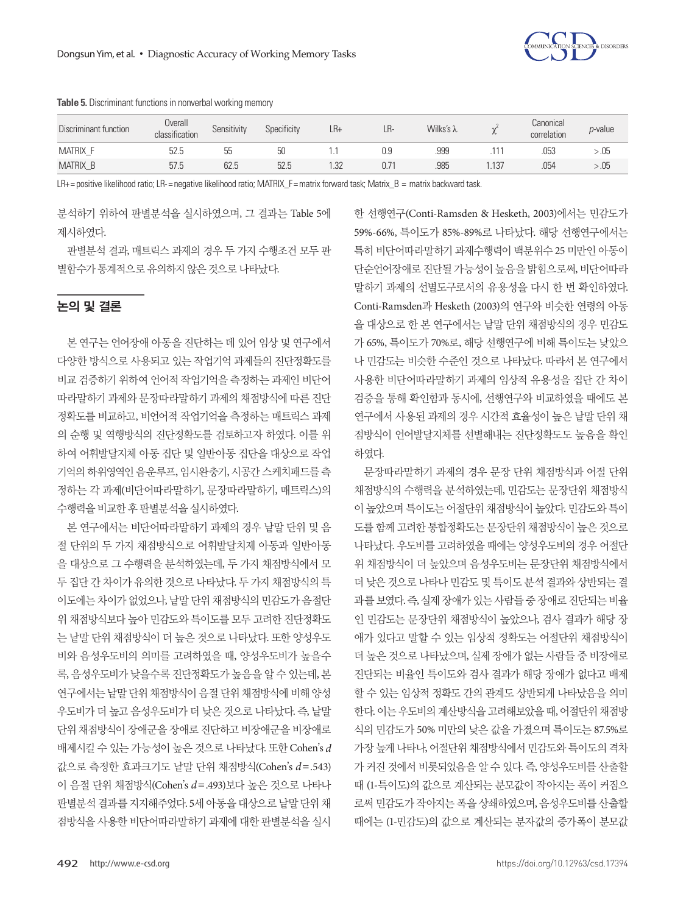**Table 5.** Discriminant functions in nonverbal working memory

| Discriminant function | Overall<br>classification | Sensitivity | Specificity | LR+ | LR- | Wilks's $\lambda$ | $\sim$ | Canonical<br>correlation | <i>p</i> -value |  |
|-----------------------|---------------------------|-------------|-------------|-----|-----|-------------------|--------|--------------------------|-----------------|--|
| MATRIX                | 52.5                      | 55          | 50          |     | 0.9 | .999              |        | .053                     | - 05            |  |
| MATRIX_B              | 57.5                      | 62.5        | 52.5        | .32 |     | .985              | .137   | .054                     | - .05           |  |
|                       |                           |             |             |     |     |                   |        |                          |                 |  |

LR+= positive likelihood ratio; LR-= negative likelihood ratio; MATRIX\_F= matrix forward task; Matrix\_B = matrix backward task.

분석하기 위하여 판별분석을 실시하였으며, 그 결과는 Table 5에 제시하였다.

판별분석 결과, 매트릭스 과제의 경우 두 가지 수행조건 모두 판 별함수가통계적으로유의하지않은것으로나타났다.

# 논의 및 결론

본 연구는 언어장애 아동을 진단하는 데 있어 임상 및 연구에서 다양한 방식으로 사용되고 있는 작업기억 과제들의 진단정확도를 비교 검증하기 위하여 언어적 작업기억을 측정하는 과제인 비단어 따라말하기 과제와 문장따라말하기 과제의 채점방식에 따른 진단 정확도를 비교하고, 비언어적 작업기억을 측정하는 매트릭스 과제 의 순행 및 역행방식의 진단정확도를 검토하고자 하였다. 이를 위 하여 어휘발달지체 아동 집단 및 일반아동 집단을 대상으로 작업 기억의 하위영역인 음운루프, 임시완충기, 시공간 스케치패드를 측 정하는 각 과제(비단어따라말하기, 문장따라말하기, 매트릭스)의 수행력을비교한후판별분석을실시하였다.

본 연구에서는 비단어따라말하기 과제의 경우 낱말 단위 및 음 절 단위의 두 가지 채점방식으로 어휘발달치제 아동과 일반아동 을 대상으로 그 수행력을 분석하였는데, 두 가지 채점방식에서 모 두 집단 간 차이가 유의한 것으로 나타났다. 두 가지 채점방식의 특 이도에는 차이가 없었으나, 낱말 단위 채점방식의 민감도가 음절단 위 채점방식보다 높아 민감도와 특이도를 모두 고려한 진단정확도 는 낱말 단위 채점방식이 더 높은 것으로 나타났다. 또한 양성우도 비와 음성우도비의 의미를 고려하였을 때, 양성우도비가 높을수 록, 음성우도비가 낮을수록 진단정확도가 높음을 알 수 있는데, 본 연구에서는 낱말 단위 채점방식이 음절 단위 채점방식에 비해 양성 우도비가 더 높고 음성우도비가 더 낮은 것으로 나타났다. 즉, 낱말 단위 채점방식이 장애군을 장애로 진단하고 비장애군을 비장애로 배제시킬 수 있는 가능성이 높은 것으로 나타났다. 또한 Cohen's *d* 값으로 측정한 효과크기도 낱말 단위 채점방식(Cohen's *d*=.543) 이 음절 단위 채점방식(Cohen's *d*=.493)보다 높은 것으로 나타나 판별분석 결과를 지지해주었다. 5세 아동을 대상으로 낱말 단위 채 점방식을 사용한 비단어따라말하기 과제에 대한 판별분석을 실시 한 선행연구(Conti-Ramsden & Hesketh, 2003)에서는 민감도가 59%-66%, 특이도가 85%-89%로 나타났다. 해당 선행연구에서는 특히 비단어따라말하기 과제수행력이 백분위수 25 미만인 아동이 단순언어장애로 진단될 가능성이 높음을 밝힘으로써, 비단어따라 말하기 과제의 선별도구로서의 유용성을 다시 한 번 확인하였다. Conti-Ramsden과 Hesketh (2003)의 연구와 비슷한 연령의 아동 을 대상으로 한 본 연구에서는 낱말 단위 채점방식의 경우 민감도 가 65%, 특이도가 70%로, 해당 선행연구에 비해 특이도는 낮았으 나 민감도는 비슷한 수준인 것으로 나타났다. 따라서 본 연구에서 사용한 비단어따라말하기 과제의 임상적 유용성을 집단 간 차이 검증을 통해 확인함과 동시에, 선행연구와 비교하였을 때에도 본 연구에서 사용된 과제의 경우 시간적 효율성이 높은 낱말 단위 채 점방식이 언어발달지체를 선별해내는 진단정확도도 높음을 확인 하였다.

문장따라말하기 과제의 경우 문장 단위 채점방식과 어절 단위 채점방식의 수행력을 분석하였는데, 민감도는 문장단위 채점방식 이 높았으며 특이도는 어절단위 채점방식이 높았다. 민감도와 특이 도를 함께 고려한 통합정확도는 문장단위 채점방식이 높은 것으로 나타났다. 우도비를 고려하였을 때에는 양성우도비의 경우 어절단 위 채점방식이 더 높았으며 음성우도비는 문장단위 채점방식에서 더 낮은 것으로 나타나 민감도 및 특이도 분석 결과와 상반되는 결 과를 보였다. 즉, 실제 장애가 있는 사람들 중 장애로 진단되는 비율 인 민감도는 문장단위 채점방식이 높았으나, 검사 결과가 해당 장 애가 있다고 말할 수 있는 임상적 정확도는 어절단위 채점방식이 더 높은 것으로 나타났으며, 실제 장애가 없는 사람들 중 비장애로 진단되는 비율인 특이도와 검사 결과가 해당 장애가 없다고 배제 할 수 있는 임상적 정확도 간의 관계도 상반되게 나타났음을 의미 한다. 이는 우도비의 계산방식을 고려해보았을 때, 어절단위 채점방 식의 민감도가 50% 미만의 낮은 값을 가졌으며 특이도는 87.5%로 가장 높게 나타나, 어절단위 채점방식에서 민감도와 특이도의 격차 가 커진 것에서 비롯되었음을 알 수 있다. 즉, 양성우도비를 산출할 때 (1-특이도)의 값으로 계산되는 분모값이 작아지는 폭이 커짐으 로써 민감도가 작아지는 폭을 상쇄하였으며, 음성우도비를 산출할 때에는 (1-민감도)의 값으로 계산되는 분자값의 증가폭이 분모값

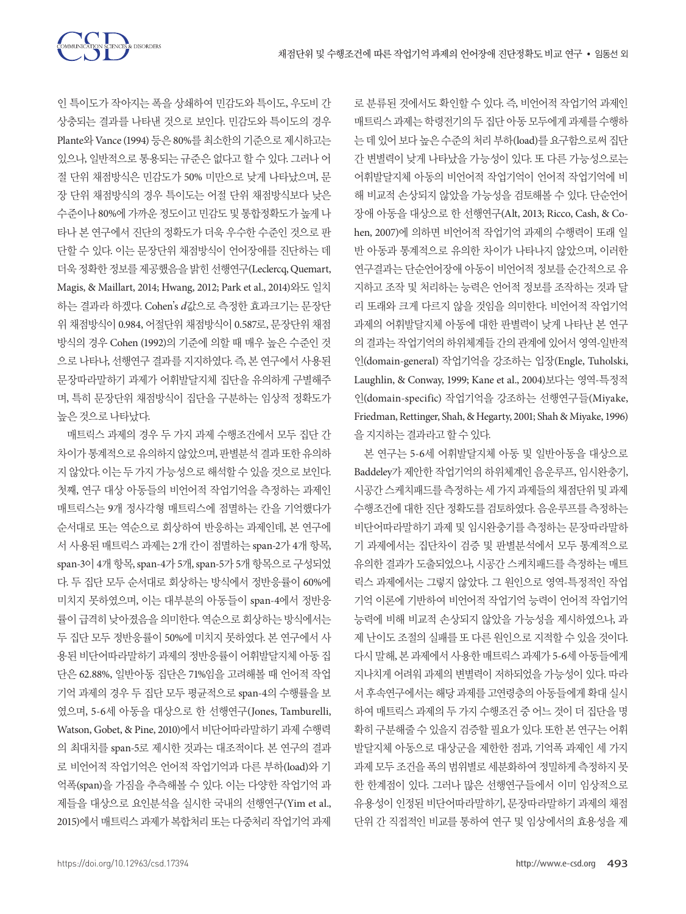

인 특이도가 작아지는 폭을 상쇄하여 민감도와 특이도, 우도비 간 상충되는 결과를 나타낸 것으로 보인다. 민감도와 특이도의 경우 Plante와 Vance (1994) 등은 80%를 최소한의 기준으로 제시하고는 있으나, 일반적으로 통용되는 규준은 없다고 할 수 있다. 그러나 어 절 단위 채점방식은 민감도가 50% 미만으로 낮게 나타났으며, 문 장 단위 채점방식의 경우 특이도는 어절 단위 채점방식보다 낮은 수준이나 80%에 가까운 정도이고 민감도 및 통합정확도가 높게 나 타나 본 연구에서 진단의 정확도가 더욱 우수한 수준인 것으로 판 단할 수 있다. 이는 문장단위 채점방식이 언어장애를 진단하는 데 더욱정확한정보를제공했음을밝힌선행연구(Leclercq, Quemart, Magis, & Maillart, 2014; Hwang, 2012; Park et al., 2014)와도 일치 하는 결과라 하겠다. Cohen's *d*값으로 측정한 효과크기는 문장단 위 채점방식이 0.984, 어절단위 채점방식이 0.587로, 문장단위 채점 방식의 경우 Cohen (1992)의 기준에 의할 때 매우 높은 수준인 것 으로 나타나, 선행연구 결과를 지지하였다. 즉, 본 연구에서 사용된 문장따라말하기 과제가 어휘발달지체 집단을 유의하게 구별해주 며, 특히 문장단위 채점방식이 집단을 구분하는 임상적 정확도가 높은것으로나타났다.

매트릭스 과제의 경우 두 가지 과제 수행조건에서 모두 집단 간 차이가 통계적으로 유의하지 않았으며, 판별분석 결과 또한 유의하 지 않았다. 이는 두 가지 가능성으로 해석할 수 있을 것으로 보인다. 첫째, 연구 대상 아동들의 비언어적 작업기억을 측정하는 과제인 매트릭스는 9개 정사각형 매트릭스에 점멸하는 칸을 기억했다가 순서대로 또는 역순으로 회상하여 반응하는 과제인데, 본 연구에 서 사용된 매트릭스 과제는 2개 칸이 점멸하는 span-2가 4개 항목, span-3이 4개 항목, span-4가 5개, span-5가 5개 항목으로 구성되었 다. 두 집단 모두 순서대로 회상하는 방식에서 정반응률이 60%에 미치지 못하였으며, 이는 대부분의 아동들이 span-4에서 정반응 률이 급격히 낮아졌음을 의미한다. 역순으로 회상하는 방식에서는 두 집단 모두 정반응률이 50%에 미치지 못하였다. 본 연구에서 사 용된 비단어따라말하기 과제의 정반응률이 어휘발달지체 아동 집 단은 62.88%, 일반아동 집단은 71%임을 고려해볼 때 언어적 작업 기억 과제의 경우 두 집단 모두 평균적으로 span-4의 수행률을 보 였으며, 5-6세 아동을 대상으로 한 선행연구(Jones, Tamburelli, Watson, Gobet, & Pine, 2010)에서 비단어따라말하기 과제 수행력 의 최대치를 span-5로 제시한 것과는 대조적이다. 본 연구의 결과 로 비언어적 작업기억은 언어적 작업기억과 다른 부하(load)와 기 억폭(span)을 가짐을 추측해볼 수 있다. 이는 다양한 작업기억 과 제들을 대상으로 요인분석을 실시한 국내의 선행연구(Yim et al., 2015)에서 매트릭스 과제가 복합처리 또는 다중처리 작업기억 과제

로 분류된 것에서도 확인할 수 있다. 즉, 비언어적 작업기억 과제인 매트릭스 과제는 학령전기의 두 집단 아동 모두에게 과제를 수행하 는데있어보다 높은수준의처리부하(load)를요구함으로써 집단 간 변별력이 낮게 나타났을 가능성이 있다. 또 다른 가능성으로는 어휘발달지체 아동의 비언어적 작업기억이 언어적 작업기억에 비 해 비교적 손상되지 않았을 가능성을 검토해볼 수 있다. 단순언어 장애 아동을 대상으로 한 선행연구(Alt, 2013; Ricco, Cash, & Cohen, 2007)에 의하면 비언어적 작업기억 과제의 수행력이 또래 일 반 아동과 통계적으로 유의한 차이가 나타나지 않았으며, 이러한 연구결과는 단순언어장애 아동이 비언어적 정보를 순간적으로 유 지하고 조작 및 처리하는 능력은 언어적 정보를 조작하는 것과 달 리 또래와 크게 다르지 않을 것임을 의미한다. 비언어적 작업기억 과제의 어휘발달지체 아동에 대한 판별력이 낮게 나타난 본 연구 의 결과는 작업기억의 하위체계들 간의 관계에 있어서 영역-일반적 인(domain-general) 작업기억을 강조하는 입장(Engle, Tuholski, Laughlin, & Conway, 1999; Kane et al., 2004)보다는 영역-특정적 인(domain-specific) 작업기억을 강조하는 선행연구들(Miyake, Friedman, Rettinger, Shah, & Hegarty, 2001; Shah & Miyake, 1996) 을지지하는결과라고할수있다.

본 연구는 5-6세 어휘발달지체 아동 및 일반아동을 대상으로 Baddeley가 제안한 작업기억의 하위체계인 음운루프, 임시완충기, 시공간스케치패드를 측정하는 세 가지 과제들의 채점단위및 과제 수행조건에 대한 진단 정확도를 검토하였다. 음운루프를 측정하는 비단어따라말하기 과제 및 임시완충기를 측정하는 문장따라말하 기 과제에서는 집단차이 검증 및 판별분석에서 모두 통계적으로 유의한 결과가 도출되었으나, 시공간 스케치패드를 측정하는 매트 릭스 과제에서는 그렇지 않았다. 그 원인으로 영역-특정적인 작업 기억 이론에 기반하여 비언어적 작업기억 능력이 언어적 작업기억 능력에 비해 비교적 손상되지 않았을 가능성을 제시하였으나, 과 제 난이도 조절의 실패를 또 다른 원인으로 지적할 수 있을 것이다. 다시 말해, 본 과제에서 사용한 매트릭스 과제가 5-6세 아동들에게 지나치게 어려워 과제의 변별력이 저하되었을 가능성이 있다. 따라 서 후속연구에서는 해당 과제를 고연령층의 아동들에게 확대 실시 하여 매트릭스 과제의 두 가지 수행조건 중 어느 것이 더 집단을 명 확히 구분해줄 수 있을지 검증할 필요가 있다. 또한 본 연구는 어휘 발달지체 아동으로 대상군을 제한한 점과, 기억폭 과제인 세 가지 과제 모두 조건을 폭의 범위별로 세분화하여 정밀하게 측정하지 못 한 한계점이 있다. 그러나 많은 선행연구들에서 이미 임상적으로 유용성이 인정된 비단어따라말하기, 문장따라말하기 과제의 채점 단위 간 직접적인 비교를 통하여 연구 및 임상에서의 효용성을 제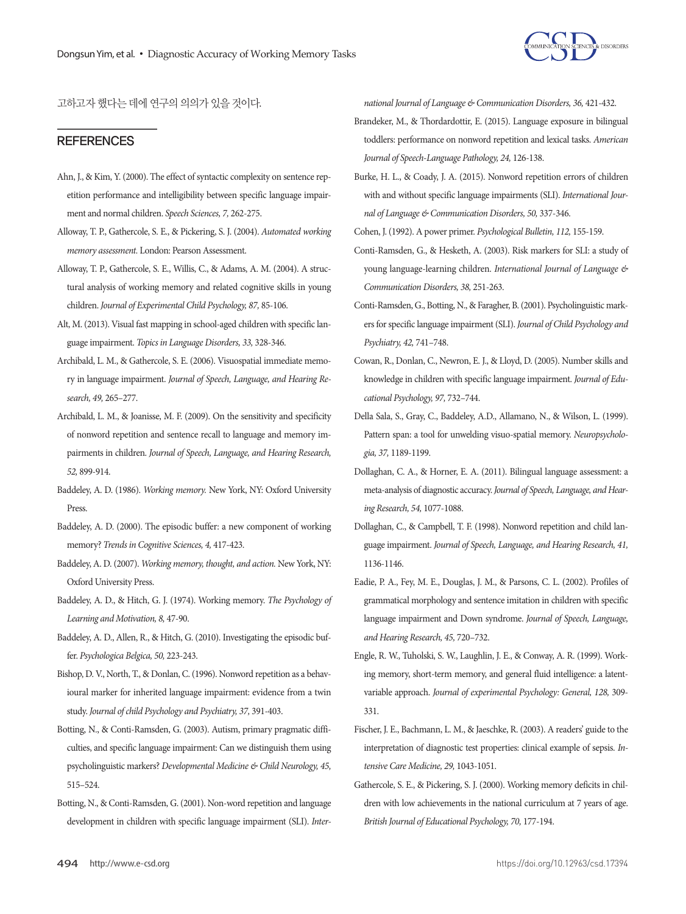

고하고자 했다는 데에 연구의 의의가 있을 것이다.

## **REFERENCES**

- Ahn, J., & Kim, Y. (2000). The effect of syntactic complexity on sentence repetition performance and intelligibility between specific language impairment and normal children. *Speech Sciences, 7,* 262-275.
- Alloway, T. P., Gathercole, S. E., & Pickering, S. J. (2004). *Automated working memory assessment.* London: Pearson Assessment.
- Alloway, T. P., Gathercole, S. E., Willis, C., & Adams, A. M. (2004). A structural analysis of working memory and related cognitive skills in young children. *Journal of Experimental Child Psychology, 87,* 85-106.
- Alt, M. (2013). Visual fast mapping in school-aged children with specific language impairment. *Topics in Language Disorders, 33,* 328-346.
- Archibald, L. M., & Gathercole, S. E. (2006). Visuospatial immediate memory in language impairment. *Journal of Speech, Language, and Hearing Research, 49,* 265–277.
- Archibald, L. M., & Joanisse, M. F. (2009). On the sensitivity and specificity of nonword repetition and sentence recall to language and memory impairments in children. *Journal of Speech, Language, and Hearing Research, 52,* 899-914.
- Baddeley, A. D. (1986). *Working memory.* New York, NY: Oxford University Press.
- Baddeley, A. D. (2000). The episodic buffer: a new component of working memory? *Trends in Cognitive Sciences, 4,* 417-423.
- Baddeley, A. D. (2007). *Working memory, thought, and action.* New York, NY: Oxford University Press.
- Baddeley, A. D., & Hitch, G. J. (1974). Working memory. *The Psychology of Learning and Motivation, 8,* 47-90.
- Baddeley, A. D., Allen, R., & Hitch, G. (2010). Investigating the episodic buffer. *Psychologica Belgica, 50,* 223-243.
- Bishop, D. V., North, T., & Donlan, C. (1996). Nonword repetition as a behavioural marker for inherited language impairment: evidence from a twin study. *Journal of child Psychology and Psychiatry, 37,* 391-403.
- Botting, N., & Conti-Ramsden, G. (2003). Autism, primary pragmatic difficulties, and specific language impairment: Can we distinguish them using psycholinguistic markers? *Developmental Medicine & Child Neurology, 45,* 515–524.
- Botting, N., & Conti‐Ramsden, G. (2001). Non‐word repetition and language development in children with specific language impairment (SLI). *Inter-*

*national Journal of Language & Communication Disorders, 36,* 421-432.

- Brandeker, M., & Thordardottir, E. (2015). Language exposure in bilingual toddlers: performance on nonword repetition and lexical tasks. *American Journal of Speech-Language Pathology, 24,* 126-138.
- Burke, H. L., & Coady, J. A. (2015). Nonword repetition errors of children with and without specific language impairments (SLI). *International Journal of Language & Communication Disorders, 50,* 337-346.
- Cohen, J. (1992). A power primer. *Psychological Bulletin, 112,* 155-159.
- Conti-Ramsden, G., & Hesketh, A. (2003). Risk markers for SLI: a study of young language-learning children. *International Journal of Language & Communication Disorders, 38,* 251-263.
- Conti-Ramsden, G., Botting, N., & Faragher, B. (2001). Psycholinguistic markers for specific language impairment (SLI). *Journal of Child Psychology and Psychiatry, 42,* 741–748.
- Cowan, R., Donlan, C., Newron, E. J., & Lloyd, D. (2005). Number skills and knowledge in children with specific language impairment. *Journal of Educational Psychology, 97,* 732–744.
- Della Sala, S., Gray, C., Baddeley, A.D., Allamano, N., & Wilson, L. (1999). Pattern span: a tool for unwelding visuo-spatial memory. *Neuropsychologia, 37,* 1189-1199.
- Dollaghan, C. A., & Horner, E. A. (2011). Bilingual language assessment: a meta-analysis of diagnostic accuracy. *Journal of Speech, Language, and Hearing Research, 54,* 1077-1088.
- Dollaghan, C., & Campbell, T. F. (1998). Nonword repetition and child language impairment. *Journal of Speech, Language, and Hearing Research, 41,* 1136-1146.
- Eadie, P. A., Fey, M. E., Douglas, J. M., & Parsons, C. L. (2002). Profiles of grammatical morphology and sentence imitation in children with specific language impairment and Down syndrome. *Journal of Speech, Language, and Hearing Research, 45,* 720–732.
- Engle, R. W., Tuholski, S. W., Laughlin, J. E., & Conway, A. R. (1999). Working memory, short-term memory, and general fluid intelligence: a latentvariable approach. *Journal of experimental Psychology: General, 128,* 309- 331.
- Fischer, J. E., Bachmann, L. M., & Jaeschke, R. (2003). A readers' guide to the interpretation of diagnostic test properties: clinical example of sepsis. *Intensive Care Medicine, 29,* 1043-1051.
- Gathercole, S. E., & Pickering, S. J. (2000). Working memory deficits in children with low achievements in the national curriculum at 7 years of age. *British Journal of Educational Psychology, 70,* 177-194.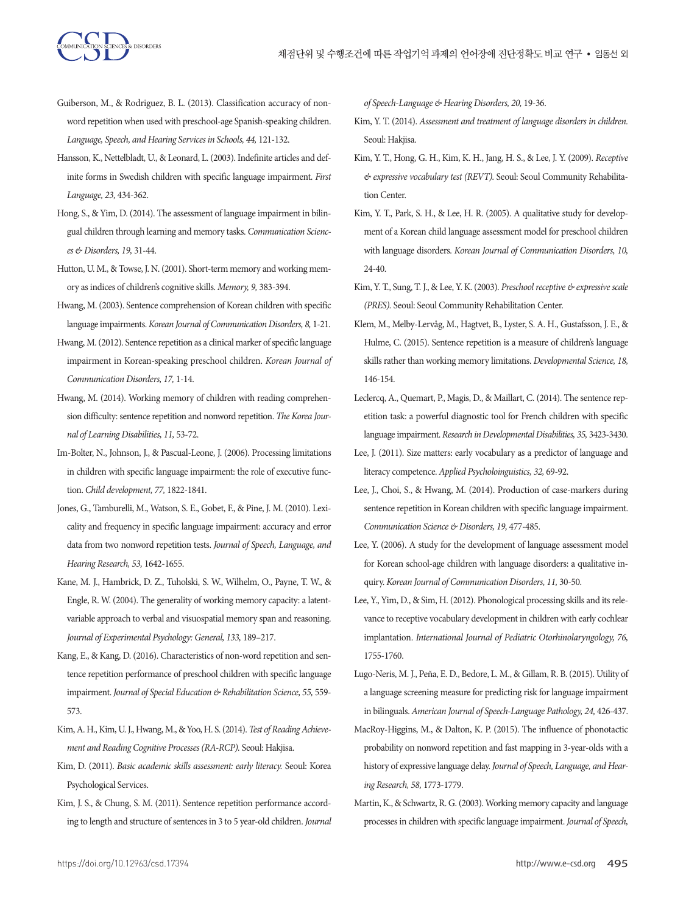- Guiberson, M., & Rodriguez, B. L. (2013). Classification accuracy of nonword repetition when used with preschool-age Spanish-speaking children. *Language, Speech, and Hearing Services in Schools, 44,* 121-132.
- Hansson, K., Nettelbladt, U., & Leonard, L. (2003). Indefinite articles and definite forms in Swedish children with specific language impairment. *First Language, 23,* 434-362.
- Hong, S., & Yim, D. (2014). The assessment of language impairment in bilingual children through learning and memory tasks. *Communication Sciences & Disorders, 19,* 31-44.
- Hutton, U. M., & Towse, J. N. (2001). Short-term memory and working memory as indices of children's cognitive skills. *Memory, 9,* 383-394.
- Hwang, M. (2003). Sentence comprehension of Korean children with specific language impairments. *Korean Journal of Communication Disorders, 8,* 1-21.
- Hwang, M. (2012). Sentence repetition as a clinical marker of specific language impairment in Korean-speaking preschool children. *Korean Journal of Communication Disorders, 17,* 1-14.
- Hwang, M. (2014). Working memory of children with reading comprehension difficulty: sentence repetition and nonword repetition. *The Korea Journal of Learning Disabilities, 11,* 53-72.
- Im‐Bolter, N., Johnson, J., & Pascual‐Leone, J. (2006). Processing limitations in children with specific language impairment: the role of executive function. *Child development, 77,* 1822-1841.
- Jones, G., Tamburelli, M., Watson, S. E., Gobet, F., & Pine, J. M. (2010). Lexicality and frequency in specific language impairment: accuracy and error data from two nonword repetition tests. *Journal of Speech, Language, and Hearing Research, 53,* 1642-1655.
- Kane, M. J., Hambrick, D. Z., Tuholski, S. W., Wilhelm, O., Payne, T. W., & Engle, R. W. (2004). The generality of working memory capacity: a latentvariable approach to verbal and visuospatial memory span and reasoning. *Journal of Experimental Psychology: General, 133,* 189–217.
- Kang, E., & Kang, D. (2016). Characteristics of non-word repetition and sentence repetition performance of preschool children with specific language impairment. *Journal of Special Education & Rehabilitation Science, 55,* 559- 573.
- Kim, A. H., Kim, U. J., Hwang, M., & Yoo, H. S. (2014). *Test of Reading Achievement and Reading Cognitive Processes (RA-RCP).* Seoul: Hakjisa.
- Kim, D. (2011). *Basic academic skills assessment: early literacy.* Seoul: Korea Psychological Services.
- Kim, J. S., & Chung, S. M. (2011). Sentence repetition performance according to length and structure of sentences in 3 to 5 year-old children. *Journal*

*of Speech-Language & Hearing Disorders, 20,* 19-36.

- Kim, Y. T. (2014). *Assessment and treatment of language disorders in children.* Seoul: Hakjisa.
- Kim, Y. T., Hong, G. H., Kim, K. H., Jang, H. S., & Lee, J. Y. (2009). *Receptive & expressive vocabulary test (REVT).* Seoul: Seoul Community Rehabilitation Center.
- Kim, Y. T., Park, S. H., & Lee, H. R. (2005). A qualitative study for development of a Korean child language assessment model for preschool children with language disorders. *Korean Journal of Communication Disorders, 10,*  24-40.
- Kim, Y. T., Sung, T. J., & Lee, Y. K. (2003). *Preschool receptive & expressive scale (PRES).* Seoul: Seoul Community Rehabilitation Center.
- Klem, M., Melby‐Lervåg, M., Hagtvet, B., Lyster, S. A. H., Gustafsson, J. E., & Hulme, C. (2015). Sentence repetition is a measure of children's language skills rather than working memory limitations. *Developmental Science, 18,*  146-154.
- Leclercq, A., Quemart, P., Magis, D., & Maillart, C. (2014). The sentence repetition task: a powerful diagnostic tool for French children with specific language impairment. *Research in Developmental Disabilities, 35,* 3423-3430.
- Lee, J. (2011). Size matters: early vocabulary as a predictor of language and literacy competence. *Applied Psycholoinguistics, 32,* 69-92.
- Lee, J., Choi, S., & Hwang, M. (2014). Production of case-markers during sentence repetition in Korean children with specific language impairment. *Communication Science & Disorders, 19,* 477-485.
- Lee, Y. (2006). A study for the development of language assessment model for Korean school-age children with language disorders: a qualitative inquiry. *Korean Journal of Communication Disorders, 11,* 30-50.
- Lee, Y., Yim, D., & Sim, H. (2012). Phonological processing skills and its relevance to receptive vocabulary development in children with early cochlear implantation. *International Journal of Pediatric Otorhinolaryngology, 76,*  1755-1760.
- Lugo-Neris, M. J., Peña, E. D., Bedore, L. M., & Gillam, R. B. (2015). Utility of a language screening measure for predicting risk for language impairment in bilinguals. *American Journal of Speech-Language Pathology, 24,* 426-437.
- MacRoy-Higgins, M., & Dalton, K. P. (2015). The influence of phonotactic probability on nonword repetition and fast mapping in 3-year-olds with a history of expressive language delay. *Journal of Speech, Language, and Hearing Research, 58,* 1773-1779.
- Martin, K., & Schwartz, R. G. (2003). Working memory capacity and language processes in children with specific language impairment. *Journal of Speech,*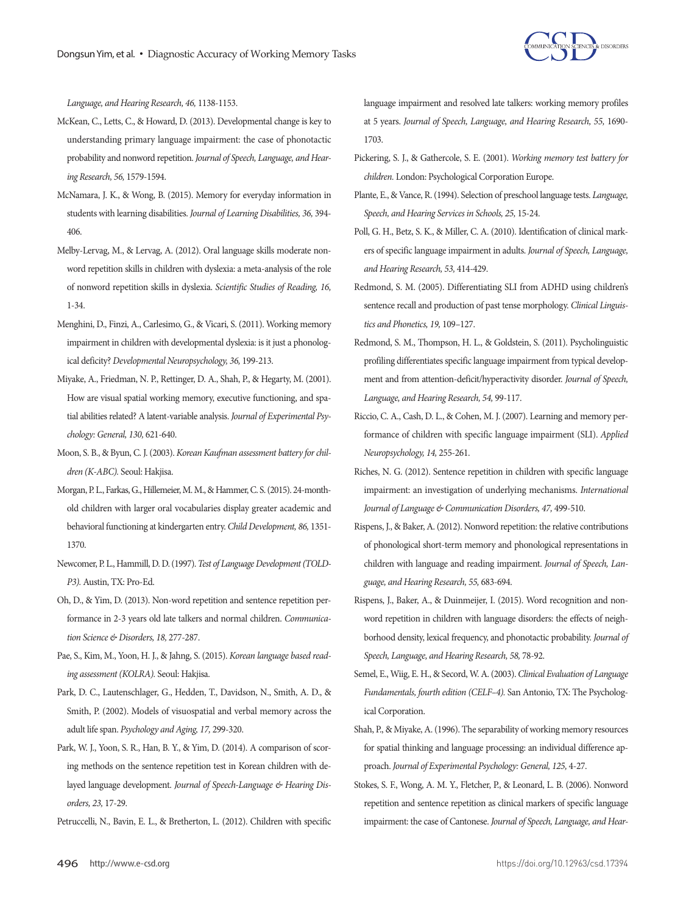

*Language, and Hearing Research, 46,* 1138-1153.

- McKean, C., Letts, C., & Howard, D. (2013). Developmental change is key to understanding primary language impairment: the case of phonotactic probability and nonword repetition. *Journal of Speech, Language, and Hearing Research, 56,* 1579-1594.
- McNamara, J. K., & Wong, B. (2015). Memory for everyday information in students with learning disabilities. *Journal of Learning Disabilities, 36,* 394- 406.
- Melby-Lervag, M., & Lervag, A. (2012). Oral language skills moderate nonword repetition skills in children with dyslexia: a meta-analysis of the role of nonword repetition skills in dyslexia. *Scientific Studies of Reading, 16,*  1-34.
- Menghini, D., Finzi, A., Carlesimo, G., & Vicari, S. (2011). Working memory impairment in children with developmental dyslexia: is it just a phonological deficity? *Developmental Neuropsychology, 36,* 199-213.
- Miyake, A., Friedman, N. P., Rettinger, D. A., Shah, P., & Hegarty, M. (2001). How are visual spatial working memory, executive functioning, and spatial abilities related? A latent-variable analysis. *Journal of Experimental Psychology: General, 130,* 621-640.
- Moon, S. B., & Byun, C. J. (2003). *Korean Kaufman assessment battery for children (K-ABC).* Seoul: Hakjisa.
- Morgan, P. L., Farkas, G., Hillemeier, M. M., & Hammer, C. S. (2015). 24-monthold children with larger oral vocabularies display greater academic and behavioral functioning at kindergarten entry. *Child Development, 86,* 1351- 1370.
- Newcomer, P. L., Hammill, D. D. (1997). *Test of Language Development (TOLD-P3).* Austin, TX: Pro-Ed.
- Oh, D., & Yim, D. (2013). Non-word repetition and sentence repetition performance in 2-3 years old late talkers and normal children. *Communication Science & Disorders, 18,* 277-287.
- Pae, S., Kim, M., Yoon, H. J., & Jahng, S. (2015). *Korean language based reading assessment (KOLRA).* Seoul: Hakjisa.
- Park, D. C., Lautenschlager, G., Hedden, T., Davidson, N., Smith, A. D., & Smith, P. (2002). Models of visuospatial and verbal memory across the adult life span. *Psychology and Aging, 17,* 299-320.
- Park, W. J., Yoon, S. R., Han, B. Y., & Yim, D. (2014). A comparison of scoring methods on the sentence repetition test in Korean children with delayed language development. *Journal of Speech-Language & Hearing Disorders, 23,* 17-29.
- Petruccelli, N., Bavin, E. L., & Bretherton, L. (2012). Children with specific

language impairment and resolved late talkers: working memory profiles at 5 years. *Journal of Speech, Language, and Hearing Research, 55,* 1690- 1703.

- Pickering, S. J., & Gathercole, S. E. (2001). *Working memory test battery for children.* London: Psychological Corporation Europe.
- Plante, E., & Vance, R. (1994). Selection of preschool language tests. *Language, Speech, and Hearing Services in Schools, 25,* 15-24.
- Poll, G. H., Betz, S. K., & Miller, C. A. (2010). Identification of clinical markers of specific language impairment in adults. *Journal of Speech, Language, and Hearing Research, 53,* 414-429.
- Redmond, S. M. (2005). Differentiating SLI from ADHD using children's sentence recall and production of past tense morphology. *Clinical Linguistics and Phonetics, 19,* 109–127.
- Redmond, S. M., Thompson, H. L., & Goldstein, S. (2011). Psycholinguistic profiling differentiates specific language impairment from typical development and from attention-deficit/hyperactivity disorder. *Journal of Speech, Language, and Hearing Research, 54,* 99-117.
- Riccio, C. A., Cash, D. L., & Cohen, M. J. (2007). Learning and memory performance of children with specific language impairment (SLI). *Applied Neuropsychology, 14,* 255-261.
- Riches, N. G. (2012). Sentence repetition in children with specific language impairment: an investigation of underlying mechanisms. *International Journal of Language & Communication Disorders, 47,* 499-510.
- Rispens, J., & Baker, A. (2012). Nonword repetition: the relative contributions of phonological short-term memory and phonological representations in children with language and reading impairment. *Journal of Speech, Language, and Hearing Research, 55,* 683-694.
- Rispens, J., Baker, A., & Duinmeijer, I. (2015). Word recognition and nonword repetition in children with language disorders: the effects of neighborhood density, lexical frequency, and phonotactic probability. *Journal of Speech, Language, and Hearing Research, 58,* 78-92.
- Semel, E., Wiig, E. H., & Secord, W. A. (2003). *Clinical Evaluation of Language Fundamentals, fourth edition (CELF–4).* San Antonio, TX: The Psychological Corporation.
- Shah, P., & Miyake, A. (1996). The separability of working memory resources for spatial thinking and language processing: an individual difference approach. *Journal of Experimental Psychology: General, 125,* 4-27.
- Stokes, S. F., Wong, A. M. Y., Fletcher, P., & Leonard, L. B. (2006). Nonword repetition and sentence repetition as clinical markers of specific language impairment: the case of Cantonese. *Journal of Speech, Language, and Hear-*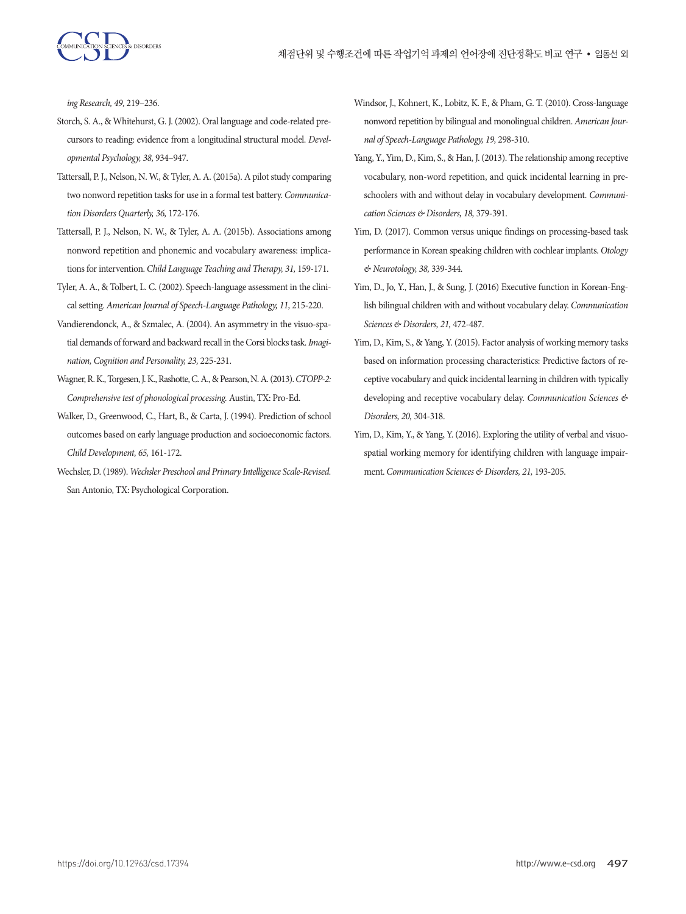

*ing Research, 49,* 219–236.

- Storch, S. A., & Whitehurst, G. J. (2002). Oral language and code-related precursors to reading: evidence from a longitudinal structural model. *Developmental Psychology, 38,* 934–947.
- Tattersall, P. J., Nelson, N. W., & Tyler, A. A. (2015a). A pilot study comparing two nonword repetition tasks for use in a formal test battery. *Communication Disorders Quarterly, 36,* 172-176.
- Tattersall, P. J., Nelson, N. W., & Tyler, A. A. (2015b). Associations among nonword repetition and phonemic and vocabulary awareness: implications for intervention. *Child Language Teaching and Therapy, 31,* 159-171.
- Tyler, A. A., & Tolbert, L. C. (2002). Speech-language assessment in the clinical setting. *American Journal of Speech-Language Pathology, 11,* 215-220.
- Vandierendonck, A., & Szmalec, A. (2004). An asymmetry in the visuo-spatial demands of forward and backward recall in the Corsi blocks task. *Imagination, Cognition and Personality, 23,* 225-231.
- Wagner, R. K., Torgesen, J. K., Rashotte, C. A., & Pearson, N. A. (2013). *CTOPP-2: Comprehensive test of phonological processing.* Austin, TX: Pro-Ed.
- Walker, D., Greenwood, C., Hart, B., & Carta, J. (1994). Prediction of school outcomes based on early language production and socioeconomic factors. *Child Development, 65,* 161-172.
- Wechsler, D. (1989). *Wechsler Preschool and Primary Intelligence Scale-Revised.*  San Antonio, TX: Psychological Corporation.
- Windsor, J., Kohnert, K., Lobitz, K. F., & Pham, G. T. (2010). Cross-language nonword repetition by bilingual and monolingual children. *American Journal of Speech-Language Pathology, 19,* 298-310.
- Yang, Y., Yim, D., Kim, S., & Han, J. (2013). The relationship among receptive vocabulary, non-word repetition, and quick incidental learning in preschoolers with and without delay in vocabulary development. *Communication Sciences & Disorders, 18,* 379-391.
- Yim, D. (2017). Common versus unique findings on processing-based task performance in Korean speaking children with cochlear implants. *Otology & Neurotology, 38,* 339-344.
- Yim, D., Jo, Y., Han, J., & Sung, J. (2016) Executive function in Korean-English bilingual children with and without vocabulary delay. *Communication Sciences & Disorders, 21,* 472-487.
- Yim, D., Kim, S., & Yang, Y. (2015). Factor analysis of working memory tasks based on information processing characteristics: Predictive factors of receptive vocabulary and quick incidental learning in children with typically developing and receptive vocabulary delay. *Communication Sciences & Disorders, 20,* 304-318.
- Yim, D., Kim, Y., & Yang, Y. (2016). Exploring the utility of verbal and visuospatial working memory for identifying children with language impairment. *Communication Sciences & Disorders, 21,* 193-205.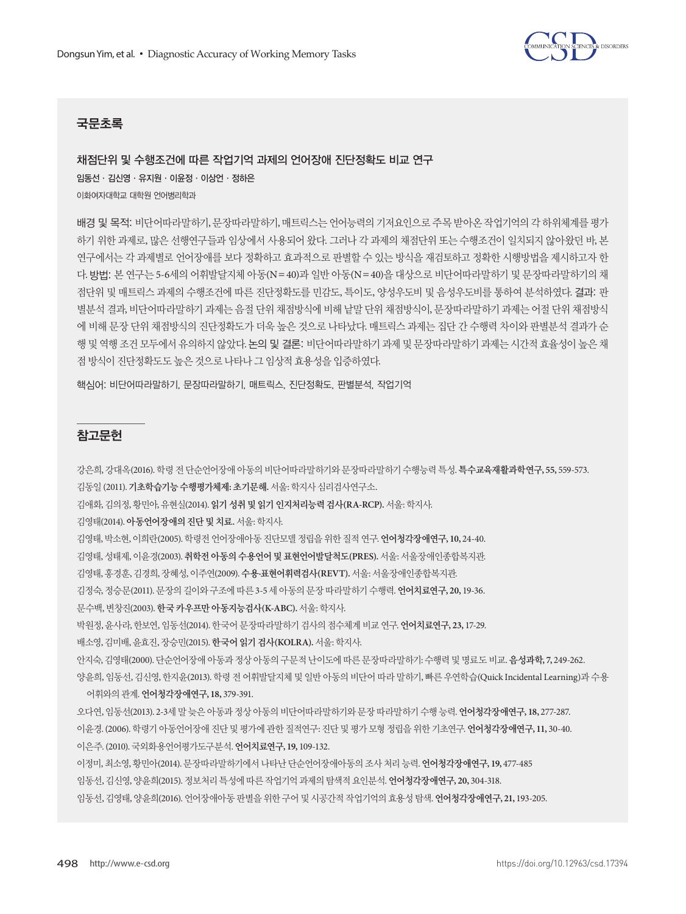

# 국문초록

채점단위 및 수행조건에 따른 작업기억 과제의 언어장애 진단정확도 비교 연구 임동선·김신영·유지원·이윤정·이상언·정하은 이화여자대학교 대학원 언어병리학과

배경 및 목적: 비단어따라말하기, 문장따라말하기, 매트릭스는 언어능력의 기저요인으로 주목 받아온 작업기억의 각 하위체계를 평가 하기 위한 과제로, 많은 선행연구들과 임상에서 사용되어 왔다. 그러나 각 과제의 채점단위 또는 수행조건이 일치되지 않아왔던 바, 본 연구에서는 각 과제별로 언어장애를 보다 정확하고 효과적으로 판별할 수 있는 방식을 재검토하고 정확한 시행방법을 제시하고자 한 다. 방법: 본 연구는 5-6세의 어휘발달지체 아동(N=40)과 일반 아동(N=40)을 대상으로 비단어따라말하기 및 문장따라말하기의 채 점단위 및 매트릭스 과제의 수행조건에 따른 진단정확도를 민감도, 특이도, 양성우도비 및 음성우도비를 통하여 분석하였다. 결과: 판 별분석 결과, 비단어따라말하기 과제는 음절 단위 채점방식에 비해 낱말 단위 채점방식이, 문장따라말하기 과제는 어절 단위 채점방식 에 비해 문장 단위 채점방식의 진단정확도가 더욱 높은 것으로 나타났다. 매트릭스 과제는 집단 간 수행력 차이와 판별분석 결과가 순 행 및 역행 조건 모두에서 유의하지 않았다. 논의 및 결론: 비단어따라말하기 과제 및 문장따라말하기 과제는 시간적 효율성이 높은 채 점방식이진단정확도도높은것으로나타나그임상적효용성을입증하였다.

핵심어: 비단어따라말하기, 문장따라말하기, 매트릭스, 진단정확도, 판별분석, 작업기억

## 참고문헌

강은희, 강대옥(2016). 학령전단순언어장애아동의비단어따라말하기와문장따라말하기수행능력특성. 특수교육재활과학연구**, 55,** 559-573. 김동일 (2011). 기초학습기능수행평가체제**:** 초기문해**.** 서울: 학지사심리검사연구소.

김애화, 김의정, 황민아, 유현실(2014). 읽기성취및읽기인지처리능력검사**(RA-RCP).**서울: 학지사.

김영태(2014). 아동언어장애의진단및치료**.**서울: 학지사.

김영태, 박소현, 이희란(2005). 학령전언어장애아동진단모델정립을위한질적연구. 언어청각장애연구**, 10,** 24-40.

김영태, 성태제, 이윤경(2003). 취학전아동의수용언어및표현언어발달척도**(PRES).**서울: 서울장애인종합복지관.

김영태, 홍경훈, 김경희, 장혜성, 이주연(2009). 수용**·**표현어휘력검사**(REVT).** 서울: 서울장애인종합복지관.

김정숙, 정승문(2011). 문장의길이와구조에따른 3-5 세아동의문장따라말하기수행력. 언어치료연구**, 20,** 19-36.

문수백, 변창진(2003). 한국카우프만아동지능검사**(K-ABC).** 서울: 학지사.

박원정, 윤사라, 한보연, 임동선(2014). 한국어문장따라말하기검사의점수체계비교연구. 언어치료연구**, 23,** 17-29.

배소영, 김미배, 윤효진, 장승민(2015). 한국어읽기검사**(KOLRA).**서울: 학지사.

안지숙, 김영태(2000). 단순언어장애아동과정상아동의구문적난이도에따른문장따라말하기: 수행력및명료도비교. 음성과학**, 7,** 249-262.

양윤희, 임동선, 김신영, 한지윤(2013). 학령 전 어휘발달지체 및 일반 아동의 비단어 따라 말하기, 빠른 우연학습(Quick Incidental Learning)과 수용 어휘와의관계. 언어청각장애연구**, 18,** 379-391.

오다연, 임동선(2013). 2-3세말늦은아동과정상아동의비단어따라말하기와문장따라말하기수행능력. 언어청각장애연구**, 18,** 277-287. 이윤경. (2006). 학령기아동언어장애진단및평가에관한질적연구: 진단및평가모형정립을위한기초연구. 언어청각장애연구**, 11,** 30-40. 이은주. (2010). 국외화용언어평가도구분석. 언어치료연구**, 19,** 109-132.

이정미, 최소영, 황민아(2014). 문장따라말하기에서나타난단순언어장애아동의조사처리능력. 언어청각장애연구**, 19,** 477-485

임동선, 김신영, 양윤희(2015). 정보처리특성에따른작업기억과제의탐색적요인분석. 언어청각장애연구**, 20,** 304-318.

임동선, 김영태, 양윤희(2016). 언어장애아동판별을위한구어및시공간적작업기억의효용성탐색. 언어청각장애연구**, 21,** 193-205.